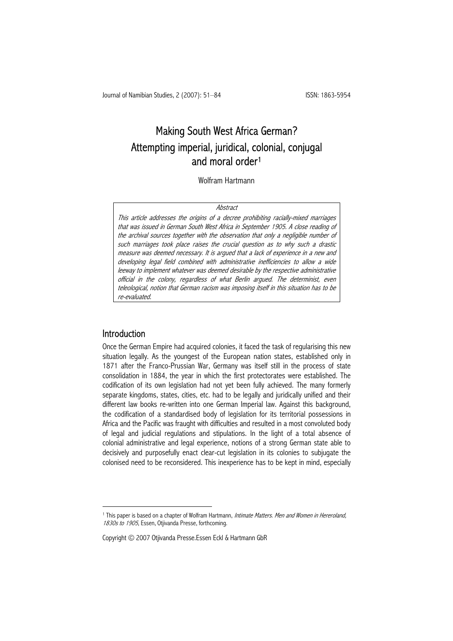# Making South West Africa German? Attempting imperial, juridical, colonial, conjugal and moral order1

Wolfram Hartmann

#### **Abstract**

This article addresses the origins of a decree prohibiting racially-mixed marriages that was issued in German South West Africa in September 1905. A close reading of the archival sources together with the observation that only a negligible number of such marriages took place raises the crucial question as to why such a drastic measure was deemed necessary. It is argued that a lack of experience in a new and developing legal field combined with administrative inefficiencies to allow a wide leeway to implement whatever was deemed desirable by the respective administrative official in the colony, regardless of what Berlin argued. The determinist, even teleological, notion that German racism was imposing itself in this situation has to be re-evaluated.

### Introduction

 $\overline{a}$ 

Once the German Empire had acquired colonies, it faced the task of regularising this new situation legally. As the youngest of the European nation states, established only in 1871 after the Franco-Prussian War, Germany was itself still in the process of state consolidation in 1884, the year in which the first protectorates were established. The codification of its own legislation had not yet been fully achieved. The many formerly separate kingdoms, states, cities, etc. had to be legally and juridically unified and their different law books re-written into one German Imperial law. Against this background, the codification of a standardised body of legislation for its territorial possessions in Africa and the Pacific was fraught with difficulties and resulted in a most convoluted body of legal and judicial regulations and stipulations. In the light of a total absence of colonial administrative and legal experience, notions of a strong German state able to decisively and purposefully enact clear-cut legislation in its colonies to subjugate the colonised need to be reconsidered. This inexperience has to be kept in mind, especially

<sup>&</sup>lt;sup>1</sup> This paper is based on a chapter of Wolfram Hartmann, *Intimate Matters. Men and Women in Hereroland*, 1830s to 1905, Essen, Otjivanda Presse, forthcoming.

Copyright © 2007 Otjivanda Presse.Essen Eckl & Hartmann GbR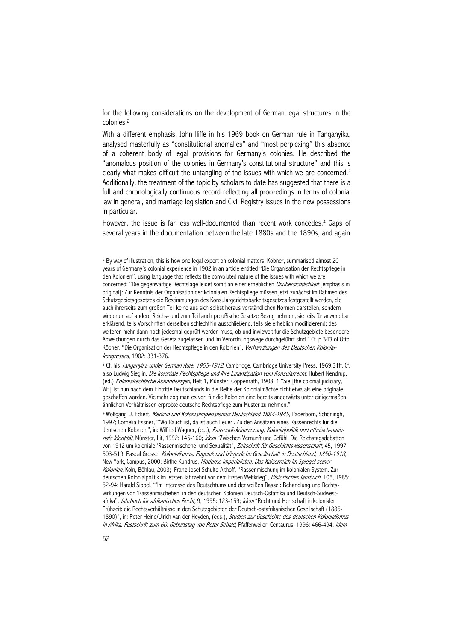for the following considerations on the development of German legal structures in the colonies.2

With a different emphasis, John Iliffe in his 1969 book on German rule in Tanganyika, analysed masterfully as "constitutional anomalies" and "most perplexing" this absence of a coherent body of legal provisions for Germany's colonies. He described the "anomalous position of the colonies in Germany's constitutional structure" and this is clearly what makes difficult the untangling of the issues with which we are concerned.<sup>3</sup> Additionally, the treatment of the topic by scholars to date has suggested that there is a full and chronologically continuous record reflecting all proceedings in terms of colonial law in general, and marriage legislation and Civil Registry issues in the new possessions in particular.

However, the issue is far less well-documented than recent work concedes.<sup>4</sup> Gaps of several years in the documentation between the late 1880s and the 1890s, and again

<sup>&</sup>lt;sup>2</sup> By way of illustration, this is how one legal expert on colonial matters, Köbner, summarised almost 20 years of Germany's colonial experience in 1902 in an article entitled "Die Organisation der Rechtspflege in den Kolonien", using language that reflects the convoluted nature of the issues with which we are concerned: "Die gegenwärtige Rechtslage leidet somit an einer erheblichen *Unübersichtlichkeit* [emphasis in original]: Zur Kenntnis der Organisation der kolonialen Rechtspflege müssen jetzt zunächst im Rahmen des Schutzgebietsgesetzes die Bestimmungen des Konsulargerichtsbarkeitsgesetzes festgestellt werden, die auch ihrerseits zum großen Teil keine aus sich selbst heraus verständlichen Normen darstellen, sondern wiederum auf andere Reichs- und zum Teil auch preußische Gesetze Bezug nehmen, sie teils für anwendbar erklärend, teils Vorschriften derselben schlechthin ausschließend, teils sie erheblich modifizierend; des weiteren mehr dann noch jedesmal geprüft werden muss, ob und inwieweit für die Schutzgebiete besondere Abweichungen durch das Gesetz zugelassen und im Verordnungswege durchgeführt sind." Cf. p 343 of Otto Köbner, "Die Organisation der Rechtspflege in den Kolonien", Verhandlungen des Deutschen Kolonialkongresses, 1902: 331-376.<br><sup>3</sup> Cf. his *Tanganyika under German Rule, 1905-1912*, Cambridge, Cambridge University Press, 1969:31ff. Cf.

also Ludwig Sieglin, Die koloniale Rechtspflege und ihre Emanzipation vom Konsularrecht. Hubert Nendrup, (ed.) Kolonialrechtliche Abhandlungen, Heft 1, Münster, Coppenrath, 1908: 1 "Sie [the colonial judiciary, WH] ist nun nach dem Eintritte Deutschlands in die Reihe der Kolonialmächte nicht etwa als eine originale geschaffen worden. Vielmehr zog man es vor, für die Kolonien eine bereits anderwärts unter einigermaßen ähnlichen Verhältnissen erprobte deutsche Rechtspflege zum Muster zu nehmen."

<sup>&</sup>lt;sup>4</sup> Wolfgang U. Eckert, *Medizin und Kolonialimperialismus Deutschland 1884-1945*, Paderborn, Schöningh, 1997; Cornelia Essner, "'Wo Rauch ist, da ist auch Feuer'. Zu den Ansätzen eines Rassenrechts für die deutschen Kolonien", in: Wilfried Wagner, (ed.), Rassendiskriminierung, Kolonialpolitik und ethnisch-nationale Identität, Münster, Lit, 1992: 145-160; idem "Zwischen Vernunft und Gefühl. Die Reichstagsdebatten von 1912 um koloniale 'Rassenmischehe' und Sexualität", Zeitschrift für Geschichtswissenschaft, 45, 1997: 503-519; Pascal Grosse, Kolonialismus, Eugenik und bürgerliche Gesellschaft in Deutschland, 1850-1918, New York, Campus, 2000; Birthe Kundrus, Moderne Imperialisten. Das Kaiserreich im Spiegel seiner Kolonien, Köln, Böhlau, 2003; Franz-Josef Schulte-Althoff, "Rassenmischung im kolonialen System. Zur deutschen Kolonialpolitik im letzten Jahrzehnt vor dem Ersten Weltkrieg", Historisches Jahrbuch, 105, 1985: 52-94; Harald Sippel, "'Im Interesse des Deutschtums und der weißen Rasse': Behandlung und Rechtswirkungen von 'Rassenmischehen' in den deutschen Kolonien Deutsch-Ostafrika und Deutsch-Südwestafrika", Jahrbuch für afrikanisches Recht, 9, 1995: 123-159; idem "Recht und Herrschaft in kolonialer Frühzeit: die Rechtsverhältnisse in den Schutzgebieten der Deutsch-ostafrikanischen Gesellschaft (1885- 1890)", in: Peter Heine/Ulrich van der Heyden, (eds.), Studien zur Geschichte des deutschen Kolonialismus in Afrika. Festschrift zum 60. Geburtstag von Peter Sebald, Pfaffenweiler, Centaurus, 1996: 466-494; idem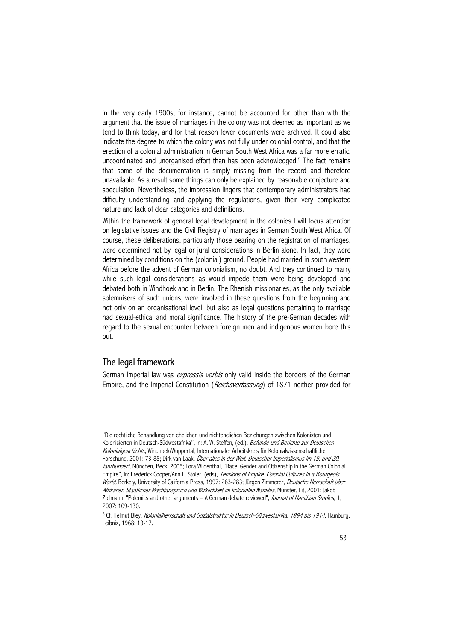in the very early 1900s, for instance, cannot be accounted for other than with the argument that the issue of marriages in the colony was not deemed as important as we tend to think today, and for that reason fewer documents were archived. It could also indicate the degree to which the colony was not fully under colonial control, and that the erection of a colonial administration in German South West Africa was a far more erratic, uncoordinated and unorganised effort than has been acknowledged.<sup>5</sup> The fact remains that some of the documentation is simply missing from the record and therefore unavailable. As a result some things can only be explained by reasonable conjecture and speculation. Nevertheless, the impression lingers that contemporary administrators had difficulty understanding and applying the regulations, given their very complicated nature and lack of clear categories and definitions.

Within the framework of general legal development in the colonies I will focus attention on legislative issues and the Civil Registry of marriages in German South West Africa. Of course, these deliberations, particularly those bearing on the registration of marriages, were determined not by legal or jural considerations in Berlin alone. In fact, they were determined by conditions on the (colonial) ground. People had married in south western Africa before the advent of German colonialism, no doubt. And they continued to marry while such legal considerations as would impede them were being developed and debated both in Windhoek and in Berlin. The Rhenish missionaries, as the only available solemnisers of such unions, were involved in these questions from the beginning and not only on an organisational level, but also as legal questions pertaining to marriage had sexual-ethical and moral significance. The history of the pre-German decades with regard to the sexual encounter between foreign men and indigenous women bore this out.

# The legal framework

 $\overline{a}$ 

German Imperial law was *expressis verbis* only valid inside the borders of the German Empire, and the Imperial Constitution (Reichsverfassung) of 1871 neither provided for

<sup>&</sup>quot;Die rechtliche Behandlung von ehelichen und nichtehelichen Beziehungen zwischen Kolonisten und Kolonisierten in Deutsch-Südwestafrika", in: A. W. Steffen, (ed.), Befunde und Berichte zur Deutschen Kolonialgeschichte, Windhoek/Wuppertal, Internationaler Arbeitskreis für Kolonialwissenschaftliche Forschung, 2001: 73-88; Dirk van Laak, Über alles in der Welt. Deutscher Imperialismus im 19. und 20. Jahrhundert, München, Beck, 2005; Lora Wildenthal, "Race, Gender and Citizenship in the German Colonial Empire", in: Frederick Cooper/Ann L. Stoler, (eds), *Tensions of Empire. Colonial Cultures in a Bourgeois* World, Berkely, University of California Press, 1997: 263-283; Jürgen Zimmerer, Deutsche Herrschaft über Afrikaner. Staatlicher Machtanspruch und Wirklichkeit im kolonialen Namibia, Münster, Lit, 2001; Jakob Zollmann, "Polemics and other arguments – A German debate reviewed", *Journal of Namibian Studies*, 1, 2007: 109-130.

<sup>&</sup>lt;sup>5</sup> Cf. Helmut Bley, Kolonialherrschaft und Sozialstruktur in Deutsch-Südwestafrika, 1894 bis 1914, Hamburg, Leibniz, 1968: 13-17.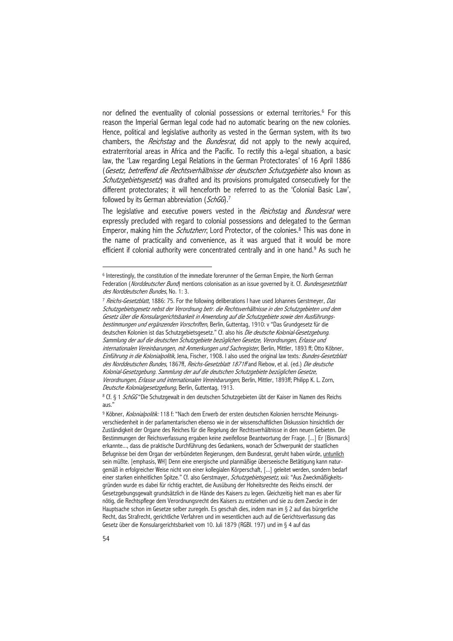nor defined the eventuality of colonial possessions or external territories.<sup>6</sup> For this reason the Imperial German legal code had no automatic bearing on the new colonies. Hence, political and legislative authority as vested in the German system, with its two chambers, the *Reichstag* and the *Bundesrat*, did not apply to the newly acquired, extraterritorial areas in Africa and the Pacific. To rectify this a-legal situation, a basic law, the 'Law regarding Legal Relations in the German Protectorates' of 16 April 1886 (Gesetz, betreffend die Rechtsverhältnisse der deutschen Schutzgebiete also known as Schutzgebietsgesetz) was drafted and its provisions promulgated consecutively for the different protectorates; it will henceforth be referred to as the 'Colonial Basic Law', followed by its German abbreviation (SchGG).<sup>7</sup>

The legislative and executive powers vested in the *Reichstag* and *Bundesrat* were expressly precluded with regard to colonial possessions and delegated to the German Emperor, making him the *Schutzherr*, Lord Protector, of the colonies.<sup>8</sup> This was done in the name of practicality and convenience, as it was argued that it would be more efficient if colonial authority were concentrated centrally and in one hand.<sup>9</sup> As such he

<sup>&</sup>lt;sup>6</sup> Interestingly, the constitution of the immediate forerunner of the German Empire, the North German Federation (Norddeutscher Bund) mentions colonisation as an issue governed by it. Cf. Bundesgesetzblatt des Norddeutschen Bundes, No. 1: 3.

<sup>&</sup>lt;sup>7</sup> Reichs-Gesetzblatt, 1886: 75. For the following deliberations I have used Johannes Gerstmeyer, Das Schutzgebietsgesetz nebst der Verordnung betr. die Rechtsverhältnisse in den Schutzgebieten und dem Gesetz über die Konsulargerichtsbarkeit in Anwendung auf die Schutzgebiete sowie den Ausführungsbestimmungen und ergänzenden Vorschriften, Berlin, Guttentag, 1910: v "Das Grundgesetz für die deutschen Kolonien ist das Schutzgebietsgesetz." Cf. also his Die deutsche Kolonial-Gesetzgebung. Sammlung der auf die deutschen Schutzgebiete bezüglichen Gesetze, Verordnungen, Erlasse und internationalen Vereinbarungen, mit Anmerkungen und Sachregister, Berlin, Mittler, 1893 ff; Otto Köbner, Einführung in die Kolonialpolitik, Jena, Fischer, 1908. I also used the original law texts: Bundes-Gesetzblatt des Norddeutschen Bundes, 1867ff, Reichs-Gesetzblatt 1871ff and Riebow, et al. (ed.) Die deutsche Kolonial-Gesetzgebung. Sammlung der auf die deutschen Schutzgebiete bezüglichen Gesetze, Verordnungen, Erlasse und internationalen Vereinbarungen, Berlin, Mittler, 1893ff; Philipp K. L. Zorn, Deutsche Kolonialgesetzgebung, Berlin, Guttentag, 1913.

<sup>&</sup>lt;sup>8</sup> Cf. § 1 SchGG "Die Schutzgewalt in den deutschen Schutzgebieten übt der Kaiser im Namen des Reichs aus."

<sup>9</sup> Köbner, Kolonialpolitik: 118 f: "Nach dem Erwerb der ersten deutschen Kolonien herrschte Meinungsverschiedenheit in der parlamentarischen ebenso wie in der wissenschaftlichen Diskussion hinsichtlich der Zuständigkeit der Organe des Reiches für die Regelung der Rechtsverhältnisse in den neuen Gebieten. Die Bestimmungen der Reichsverfassung ergaben keine zweifellose Beantwortung der Frage. [...] Er [Bismarck] erkannte..., dass die praktische Durchführung des Gedankens, wonach der Schwerpunkt der staatlichen Befugnisse bei dem Organ der verbündeten Regierungen, dem Bundesrat, geruht haben würde, untunlich sein müßte. [emphasis, WH] Denn eine energische und planmäßige überseeische Betätigung kann naturgemäß in erfolgreicher Weise nicht von einer kollegialen Körperschaft, [...] geleitet werden, sondern bedarf einer starken einheitlichen Spitze." Cf. also Gerstmayer, Schutzgebietsgesetz, xxii: "Aus Zweckmäßigkeitsgründen wurde es dabei für richtig erachtet, die Ausübung der Hoheitsrechte des Reichs einschl. der Gesetzgebungsgewalt grundsätzlich in die Hände des Kaisers zu legen. Gleichzeitig hielt man es aber für nötig, die Rechtspflege dem Verordnungsrecht des Kaisers zu entziehen und sie zu dem Zwecke in der Hauptsache schon im Gesetze selber zuregeln. Es geschah dies, indem man im § 2 auf das bürgerliche Recht, das Strafrecht, gerichtliche Verfahren und im wesentlichen auch auf die Gerichtsverfassung das Gesetz über die Konsulargerichtsbarkeit vom 10. Juli 1879 (RGBl. 197) und im § 4 auf das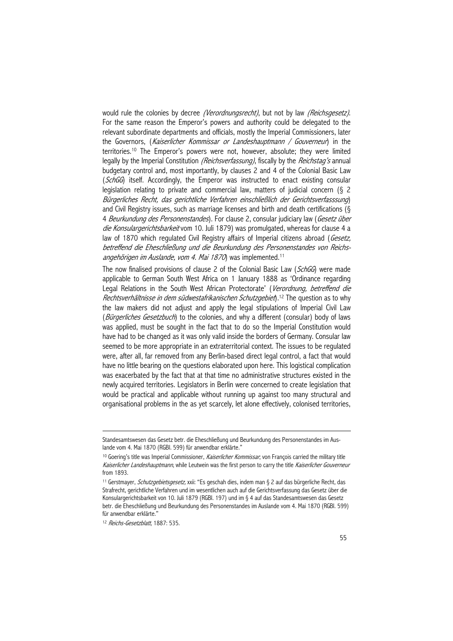would rule the colonies by decree *(Verordnungsrecht)*, but not by law *(Reichsgesetz)*. For the same reason the Emperor's powers and authority could be delegated to the relevant subordinate departments and officials, mostly the Imperial Commissioners, later the Governors, (Kaiserlicher Kommissar or Landeshauptmann / Gouverneur) in the territories.10 The Emperor's powers were not, however, absolute; they were limited legally by the Imperial Constitution (Reichsverfassung), fiscally by the Reichstag's annual budgetary control and, most importantly, by clauses 2 and 4 of the Colonial Basic Law (SchGG) itself. Accordingly, the Emperor was instructed to enact existing consular legislation relating to private and commercial law, matters of judicial concern (§ 2 Bürgerliches Recht, das gerichtliche Verfahren einschließlich der Gerichtsverfasssung) and Civil Registry issues, such as marriage licenses and birth and death certifications (§ 4 Beurkundung des Personenstandes). For clause 2, consular judiciary law (Gesetz über die Konsulargerichtsbarkeit vom 10. Juli 1879) was promulgated, whereas for clause 4 a law of 1870 which regulated Civil Registry affairs of Imperial citizens abroad (Gesetz, betreffend die Eheschließung und die Beurkundung des Personenstandes von Reichsangehörigen im Auslande, vom 4. Mai 1870) was implemented.<sup>11</sup>

The now finalised provisions of clause 2 of the Colonial Basic Law (SchGG) were made applicable to German South West Africa on 1 January 1888 as 'Ordinance regarding Legal Relations in the South West African Protectorate' (Verordnung, betreffend die Rechtsverhältnisse in dem südwestafrikanischen Schutzgebiet, <sup>12</sup> The question as to why the law makers did not adjust and apply the legal stipulations of Imperial Civil Law (Bürgerliches Gesetzbuch) to the colonies, and why a different (consular) body of laws was applied, must be sought in the fact that to do so the Imperial Constitution would have had to be changed as it was only valid inside the borders of Germany. Consular law seemed to be more appropriate in an extraterritorial context. The issues to be regulated were, after all, far removed from any Berlin-based direct legal control, a fact that would have no little bearing on the questions elaborated upon here. This logistical complication was exacerbated by the fact that at that time no administrative structures existed in the newly acquired territories. Legislators in Berlin were concerned to create legislation that would be practical and applicable without running up against too many structural and organisational problems in the as yet scarcely, let alone effectively, colonised territories,

Standesamtswesen das Gesetz betr. die Eheschließung und Beurkundung des Personenstandes im Auslande vom 4. Mai 1870 (RGBl. 599) für anwendbar erklärte."

<sup>&</sup>lt;sup>10</sup> Goering's title was Imperial Commissioner, Kaiserlicher Kommissar, von François carried the military title Kaiserlicher Landeshauptmann, while Leutwein was the first person to carry the title Kaiserlicher Gouverneur from 1893.

<sup>11</sup> Gerstmayer, Schutzgebietsgesetz, xxii: "Es geschah dies, indem man § 2 auf das bürgerliche Recht, das Strafrecht, gerichtliche Verfahren und im wesentlichen auch auf die Gerichtsverfassung das Gesetz über die Konsulargerichtsbarkeit von 10. Juli 1879 (RGBl. 197) und im § 4 auf das Standesamtswesen das Gesetz betr. die Eheschließung und Beurkundung des Personenstandes im Auslande vom 4. Mai 1870 (RGBl. 599) für anwendbar erklärte."

<sup>&</sup>lt;sup>12</sup> Reichs-Gesetzblatt, 1887: 535.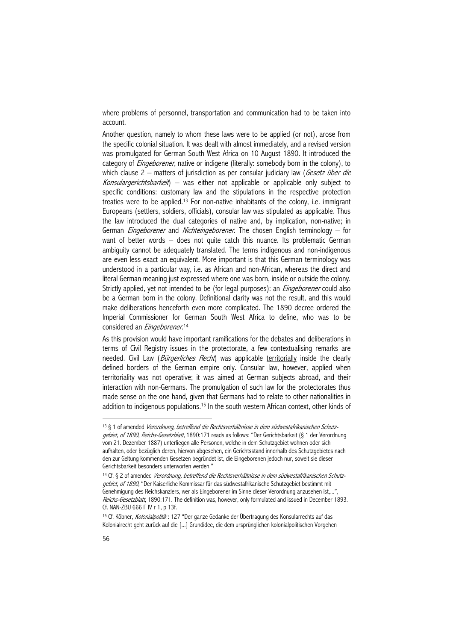where problems of personnel, transportation and communication had to be taken into account.

Another question, namely to whom these laws were to be applied (or not), arose from the specific colonial situation. It was dealt with almost immediately, and a revised version was promulgated for German South West Africa on 10 August 1890. It introduced the category of *Eingeborener*, native or indigene (literally: somebody born in the colony), to which clause 2 – matters of jurisdiction as per consular judiciary law (*Gesetz über die* Konsulargerichtsbarkeit) – was either not applicable or applicable only subject to specific conditions: customary law and the stipulations in the respective protection treaties were to be applied.13 For non-native inhabitants of the colony, i.e. immigrant Europeans (settlers, soldiers, officials), consular law was stipulated as applicable. Thus the law introduced the dual categories of native and, by implication, non-native; in German *Eingeborener* and *Nichteingeborener*. The chosen English terminology – for want of better words – does not quite catch this nuance. Its problematic German ambiguity cannot be adequately translated. The terms indigenous and non-indigenous are even less exact an equivalent. More important is that this German terminology was understood in a particular way, i.e. as African and non-African, whereas the direct and literal German meaning just expressed where one was born, inside or outside the colony. Strictly applied, yet not intended to be (for legal purposes): an *Eingeborener* could also be a German born in the colony. Definitional clarity was not the result, and this would make deliberations henceforth even more complicated. The 1890 decree ordered the Imperial Commissioner for German South West Africa to define, who was to be considered an *Eingeborener*.<sup>14</sup>

As this provision would have important ramifications for the debates and deliberations in terms of Civil Registry issues in the protectorate, a few contextualising remarks are needed. Civil Law (*Bürgerliches Recht*) was applicable territorially inside the clearly defined borders of the German empire only. Consular law, however, applied when territoriality was not operative; it was aimed at German subjects abroad, and their interaction with non-Germans. The promulgation of such law for the protectorates thus made sense on the one hand, given that Germans had to relate to other nationalities in addition to indigenous populations.<sup>15</sup> In the south western African context, other kinds of

<sup>&</sup>lt;sup>13</sup> § 1 of amended Verordnung, betreffend die Rechtsverhältnisse in dem südwestafrikanischen Schutzgebiet, of 1890, Reichs-Gesetzblatt, 1890:171 reads as follows: "Der Gerichtsbarkeit (§ 1 der Verordnung vom 21. Dezember 1887) unterliegen alle Personen, welche in dem Schutzgebiet wohnen oder sich aufhalten, oder bezüglich deren, hiervon abgesehen, ein Gerichtsstand innerhalb des Schutzgebietes nach den zur Geltung kommenden Gesetzen begründet ist, die Eingeborenen jedoch nur, soweit sie dieser Gerichtsbarkeit besonders unterworfen werden."

<sup>14</sup> Cf. § 2 of amended Verordnung, betreffend die Rechtsverhältnisse in dem südwestafrikanischen Schutzgebiet, of 1890, "Der Kaiserliche Kommissar für das südwestafrikanische Schutzgebiet bestimmt mit Genehmigung des Reichskanzlers, wer als Eingeborener im Sinne dieser Verordnung anzusehen ist,...", Reichs-Gesetzblatt, 1890:171. The definition was, however, only formulated and issued in December 1893. Cf. NAN-ZBU 666 F IV r 1, p 13f.

<sup>&</sup>lt;sup>15</sup> Cf. Köbner, Kolonialpolitik: 127 "Der ganze Gedanke der Übertragung des Konsularrechts auf das Kolonialrecht geht zurück auf die [...] Grundidee, die dem ursprünglichen kolonialpolitischen Vorgehen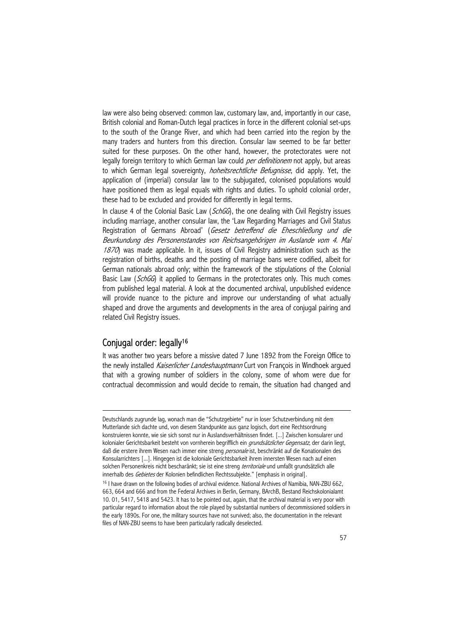law were also being observed: common law, customary law, and, importantly in our case, British colonial and Roman-Dutch legal practices in force in the different colonial set-ups to the south of the Orange River, and which had been carried into the region by the many traders and hunters from this direction. Consular law seemed to be far better suited for these purposes. On the other hand, however, the protectorates were not legally foreign territory to which German law could per definitionem not apply, but areas to which German legal sovereignty, *hoheitsrechtliche Befugnisse*, did apply. Yet, the application of (imperial) consular law to the subjugated, colonised populations would have positioned them as legal equals with rights and duties. To uphold colonial order, these had to be excluded and provided for differently in legal terms.

In clause 4 of the Colonial Basic Law (SchGG), the one dealing with Civil Registry issues including marriage, another consular law, the 'Law Regarding Marriages and Civil Status Registration of Germans Abroad' (Gesetz betreffend die Eheschließung und die Beurkundung des Personenstandes von Reichsangehörigen im Auslande vom 4. Mai  $1870$ ) was made applicable. In it, issues of Civil Registry administration such as the registration of births, deaths and the posting of marriage bans were codified, albeit for German nationals abroad only; within the framework of the stipulations of the Colonial Basic Law (SchGG) it applied to Germans in the protectorates only. This much comes from published legal material. A look at the documented archival, unpublished evidence will provide nuance to the picture and improve our understanding of what actually shaped and drove the arguments and developments in the area of conjugal pairing and related Civil Registry issues.

# Conjugal order: legally16

 $\overline{a}$ 

It was another two years before a missive dated 7 June 1892 from the Foreign Office to the newly installed *Kaiserlicher Landeshauptmann* Curt von François in Windhoek argued that with a growing number of soldiers in the colony, some of whom were due for contractual decommission and would decide to remain, the situation had changed and

Deutschlands zugrunde lag, wonach man die "Schutzgebiete" nur in loser Schutzverbindung mit dem Mutterlande sich dachte und, von diesem Standpunkte aus ganz logisch, dort eine Rechtsordnung konstruieren konnte, wie sie sich sonst nur in Auslandsverhältnissen findet. [...] Zwischen konsularer und kolonialer Gerichtsbarkeit besteht von vornherein begrifflich ein *grundsätzlicher Gegensatz*, der darin liegt, daß die erstere ihrem Wesen nach immer eine streng *personale* ist, beschränkt auf die Konationalen des Konsularrichters [...]. Hingegen ist die koloniale Gerichtsbarkeit ihrem innersten Wesen nach auf einen solchen Personenkreis nicht bescharänkt; sie ist eine streng *territoriale* und umfaßt grundsätzlich alle innerhalb des Gebietes der Kolonien befindlichen Rechtssubjekte." [emphasis in original].

<sup>&</sup>lt;sup>16</sup> I have drawn on the following bodies of archival evidence. National Archives of Namibia, NAN-ZBU 662, 663, 664 and 666 and from the Federal Archives in Berlin, Germany, BArchB, Bestand Reichskolonialamt 10. 01, 5417, 5418 and 5423. It has to be pointed out, again, that the archival material is very poor with particular regard to information about the role played by substantial numbers of decommissioned soldiers in the early 1890s. For one, the military sources have not survived; also, the documentation in the relevant files of NAN-ZBU seems to have been particularly radically deselected.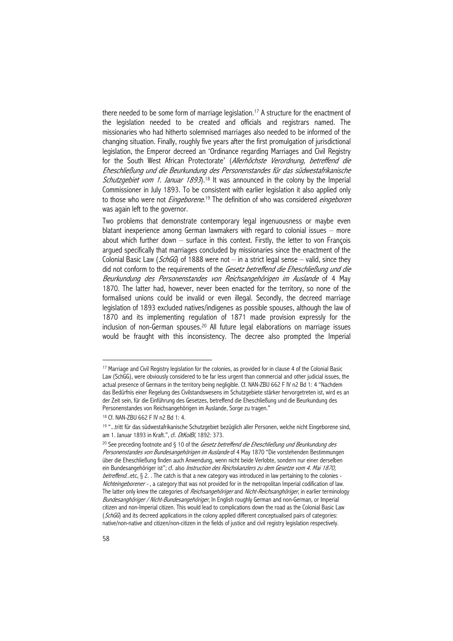there needed to be some form of marriage legislation.<sup>17</sup> A structure for the enactment of the legislation needed to be created and officials and registrars named. The missionaries who had hitherto solemnised marriages also needed to be informed of the changing situation. Finally, roughly five years after the first promulgation of jurisdictional legislation, the Emperor decreed an 'Ordinance regarding Marriages and Civil Registry for the South West African Protectorate' (Allerhöchste Verordnung, betreffend die Eheschließung und die Beurkundung des Personenstandes für das südwestafrikanische Schutzgebiet vom 1. Januar 1893).<sup>18</sup> It was announced in the colony by the Imperial Commissioner in July 1893. To be consistent with earlier legislation it also applied only to those who were not *Eingeborene*.<sup>19</sup> The definition of who was considered *eingeboren* was again left to the governor.

Two problems that demonstrate contemporary legal ingenuousness or maybe even blatant inexperience among German lawmakers with regard to colonial issues – more about which further down – surface in this context. Firstly, the letter to von François argued specifically that marriages concluded by missionaries since the enactment of the Colonial Basic Law (SchGG) of 1888 were not  $-$  in a strict legal sense  $-$  valid, since they did not conform to the requirements of the Gesetz betreffend die Eheschließung und die Beurkundung des Personenstandes von Reichsangehörigen im Auslande of 4 May 1870. The latter had, however, never been enacted for the territory, so none of the formalised unions could be invalid or even illegal. Secondly, the decreed marriage legislation of 1893 excluded natives/indigenes as possible spouses, although the law of 1870 and its implementing regulation of 1871 made provision expressly for the inclusion of non-German spouses.20 All future legal elaborations on marriage issues would be fraught with this inconsistency. The decree also prompted the Imperial

<sup>17</sup> Marriage and Civil Registry legislation for the colonies, as provided for in clause 4 of the Colonial Basic Law (SchGG), were obviously considered to be far less urgent than commercial and other judicial issues, the actual presence of Germans in the territory being negligible. Cf. NAN-ZBU 662 F IV n2 Bd 1: 4 "Nachdem das Bedürfnis einer Regelung des Civilstandswesens im Schutzgebiete stärker hervorgetreten ist, wird es an der Zeit sein, für die Einführung des Gesetzes, betreffend die Eheschließung und die Beurkundung des Personenstandes von Reichsangehörigen im Auslande, Sorge zu tragen."

<sup>18</sup> Cf. NAN-ZBU 662 F IV n2 Bd 1: 4.

<sup>19 &</sup>quot;...tritt für das südwestafrikanische Schutzgebiet bezüglich aller Personen, welche nicht Eingeborene sind, am 1. Januar 1893 in Kraft.", cf. DtKolBl, 1892: 373.

<sup>&</sup>lt;sup>20</sup> See preceding footnote and § 10 of the Gesetz betreffend die Eheschließung und Beurkundung des Personenstandes von Bundesangehörigen im Auslande of 4 May 1870 "Die vorstehenden Bestimmungen über die Eheschließung finden auch Anwendung, wenn nicht beide Verlobte, sondern nur einer derselben ein Bundesangehöriger ist"; cf. also *Instruction des Reichskanzlers zu dem Gesetze vom 4. Mai 1870*, betreffend...etc, § 2. . The catch is that a new category was introduced in law pertaining to the colonies -Nichteingeborener - , a category that was not provided for in the metropolitan Imperial codification of law. The latter only knew the categories of *Reichsangehöriger* and *Nicht-Reichsanghöriger*, in earlier terminology Bundesanghöriger / Nicht-Bundesangehöriger, In English roughly German and non-German, or Imperial citizen and non-Imperial citizen. This would lead to complications down the road as the Colonial Basic Law (SchGG) and its decreed applications in the colony applied different conceptualised pairs of categories: native/non-native and citizen/non-citizen in the fields of justice and civil registry legislation respectively.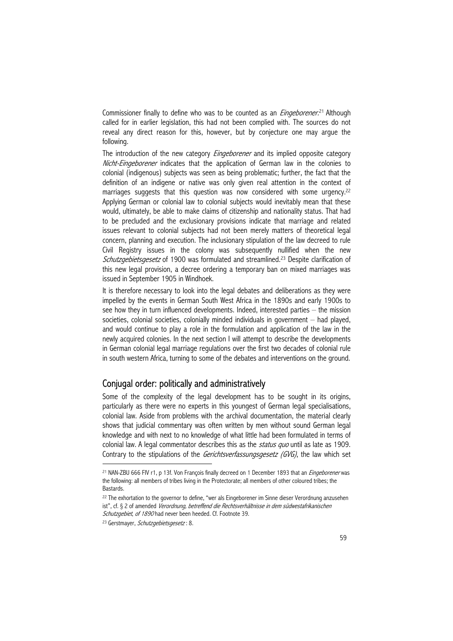Commissioner finally to define who was to be counted as an *Eingeborener*.<sup>21</sup> Although called for in earlier legislation, this had not been complied with. The sources do not reveal any direct reason for this, however, but by conjecture one may argue the following.

The introduction of the new category *Eingeborener* and its implied opposite category Nicht-Eingeborener indicates that the application of German law in the colonies to colonial (indigenous) subjects was seen as being problematic; further, the fact that the definition of an indigene or native was only given real attention in the context of marriages suggests that this question was now considered with some urgency.<sup>22</sup> Applying German or colonial law to colonial subjects would inevitably mean that these would, ultimately, be able to make claims of citizenship and nationality status. That had to be precluded and the exclusionary provisions indicate that marriage and related issues relevant to colonial subjects had not been merely matters of theoretical legal concern, planning and execution. The inclusionary stipulation of the law decreed to rule Civil Registry issues in the colony was subsequently nullified when the new Schutzgebietsgesetz of 1900 was formulated and streamlined.<sup>23</sup> Despite clarification of this new legal provision, a decree ordering a temporary ban on mixed marriages was issued in September 1905 in Windhoek.

It is therefore necessary to look into the legal debates and deliberations as they were impelled by the events in German South West Africa in the 1890s and early 1900s to see how they in turn influenced developments. Indeed, interested parties – the mission societies, colonial societies, colonially minded individuals in government – had played, and would continue to play a role in the formulation and application of the law in the newly acquired colonies. In the next section I will attempt to describe the developments in German colonial legal marriage regulations over the first two decades of colonial rule in south western Africa, turning to some of the debates and interventions on the ground.

# Conjugal order: politically and administratively

Some of the complexity of the legal development has to be sought in its origins, particularly as there were no experts in this youngest of German legal specialisations, colonial law. Aside from problems with the archival documentation, the material clearly shows that judicial commentary was often written by men without sound German legal knowledge and with next to no knowledge of what little had been formulated in terms of colonial law. A legal commentator describes this as the *status quo* until as late as 1909. Contrary to the stipulations of the Gerichtsverfassungsgesetz (GVG), the law which set

<sup>&</sup>lt;sup>21</sup> NAN-ZBU 666 FIV r1, p 13f. Von François finally decreed on 1 December 1893 that an *Fingeborener* was the following: all members of tribes living in the Protectorate; all members of other coloured tribes; the Bastards.

<sup>&</sup>lt;sup>22</sup> The exhortation to the governor to define, "wer als Eingeborener im Sinne dieser Verordnung anzusehen ist", cf. § 2 of amended Verordnung, betreffend die Rechtsverhältnisse in dem südwestafrikanischen Schutzgebiet, of 1890 had never been heeded. Cf. Footnote 39.

<sup>&</sup>lt;sup>23</sup> Gerstmayer, Schutzgebietsgesetz: 8.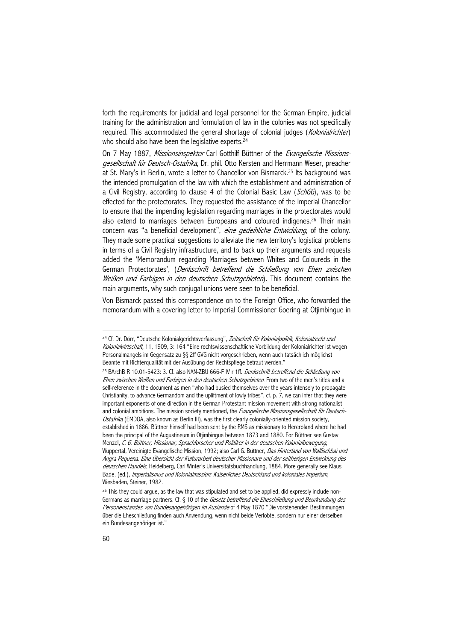forth the requirements for judicial and legal personnel for the German Empire, judicial training for the administration and formulation of law in the colonies was not specifically required. This accommodated the general shortage of colonial judges (Kolonialrichter) who should also have been the legislative experts.<sup>24</sup>

On 7 May 1887, Missionsinspektor Carl Gotthilf Büttner of the Evangelische Missionsgesellschaft für Deutsch-Ostafrika, Dr. phil. Otto Kersten and Herrmann Weser, preacher at St. Mary's in Berlin, wrote a letter to Chancellor von Bismarck.<sup>25</sup> Its background was the intended promulgation of the law with which the establishment and administration of a Civil Registry, according to clause 4 of the Colonial Basic Law (SchGG), was to be effected for the protectorates. They requested the assistance of the Imperial Chancellor to ensure that the impending legislation regarding marriages in the protectorates would also extend to marriages between Europeans and coloured indigenes.<sup>26</sup> Their main concern was "a beneficial development", eine gedeihliche Entwicklung, of the colony. They made some practical suggestions to alleviate the new territory's logistical problems in terms of a Civil Registry infrastructure, and to back up their arguments and requests added the 'Memorandum regarding Marriages between Whites and Coloureds in the German Protectorates', (Denkschrift betreffend die Schließung von Ehen zwischen Weißen und Farbigen in den deutschen Schutzgebieten). This document contains the main arguments, why such conjugal unions were seen to be beneficial.

Von Bismarck passed this correspondence on to the Foreign Office, who forwarded the memorandum with a covering letter to Imperial Commissioner Goering at Otjimbingue in

<sup>&</sup>lt;sup>24</sup> Cf. Dr. Dörr, "Deutsche Kolonialgerichtsverfassung", Zeitschrift für Kolonialpolitik, Kolonialrecht und Kolonialwirtschaft, 11, 1909, 3: 164 "Eine rechtswissenschaftliche Vorbildung der Kolonialrichter ist wegen Personalmangels im Gegensatz zu §§ 2ff GVG nicht vorgeschrieben, wenn auch tatsächlich möglichst Beamte mit Richterqualität mit der Ausübung der Rechtspflege betraut werden."

<sup>&</sup>lt;sup>25</sup> BArchB R 10.01-5423: 3. Cf. also NAN-ZBU 666-F IV r 1ff. *Denkschrift betreffend die Schließung von* Ehen zwischen Weißen und Farbigen in den deutschen Schutzgebieten. From two of the men's titles and a self-reference in the document as men "who had busied themselves over the years intensely to propagate Christianity, to advance Germandom and the upliftment of lowly tribes", cf. p. 7, we can infer that they were important exponents of one direction in the German Protestant mission movement with strong nationalist and colonial ambitions. The mission society mentioned, the Evangelische Missionsgesellschaft für Deutsch-Ostafrika (EMDOA, also known as Berlin III), was the first clearly colonially-oriented mission society, established in 1886. Büttner himself had been sent by the RMS as missionary to Hereroland where he had been the principal of the Augustineum in Otjimbingue between 1873 and 1880. For Büttner see Gustav Menzel, C. G. Büttner, Missionar, Sprachforscher und Politiker in der deutschen Kolonialbewegung, Wuppertal, Vereinigte Evangelische Mission, 1992; also Carl G. Büttner, Das Hinterland von Walfischbai und Angra Pequena. Eine Übersicht der Kulturarbeit deutscher Missionare und der seitherigen Entwicklung des deutschen Handels, Heidelberg, Carl Winter's Universitätsbuchhandlung, 1884. More generally see Klaus Bade, (ed.), Imperialismus und Kolonialmission: Kaiserliches Deutschland und koloniales Imperium, Wiesbaden, Steiner, 1982.

 $26$  This they could argue, as the law that was stipulated and set to be applied, did expressly include non-Germans as marriage partners. Cf. § 10 of the Gesetz betreffend die Eheschließung und Beurkundung des Personenstandes von Bundesangehörigen im Auslande of 4 May 1870 "Die vorstehenden Bestimmungen über die Eheschließung finden auch Anwendung, wenn nicht beide Verlobte, sondern nur einer derselben ein Bundesangehöriger ist."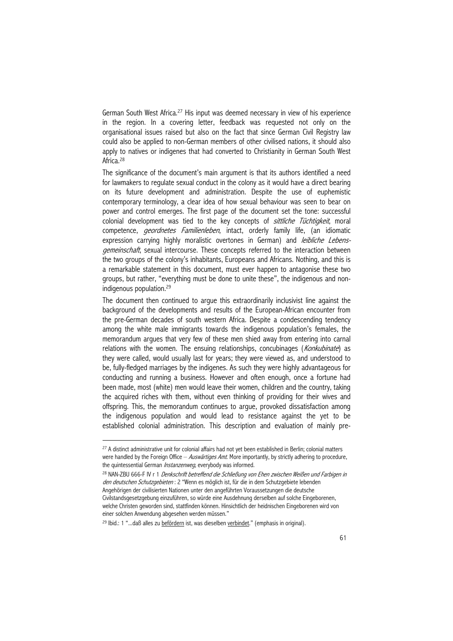German South West Africa.<sup>27</sup> His input was deemed necessary in view of his experience in the region. In a covering letter, feedback was requested not only on the organisational issues raised but also on the fact that since German Civil Registry law could also be applied to non-German members of other civilised nations, it should also apply to natives or indigenes that had converted to Christianity in German South West Africa.<sup>28</sup>

The significance of the document's main argument is that its authors identified a need for lawmakers to regulate sexual conduct in the colony as it would have a direct bearing on its future development and administration. Despite the use of euphemistic contemporary terminology, a clear idea of how sexual behaviour was seen to bear on power and control emerges. The first page of the document set the tone: successful colonial development was tied to the key concepts of *sittliche Tüchtigkeit*, moral competence, *geordnetes Familienleben*, intact, orderly family life, (an idiomatic expression carrying highly moralistic overtones in German) and *leibliche Lebens*gemeinschaft, sexual intercourse. These concepts referred to the interaction between the two groups of the colony's inhabitants, Europeans and Africans. Nothing, and this is a remarkable statement in this document, must ever happen to antagonise these two groups, but rather, "everything must be done to unite these", the indigenous and nonindigenous population.29

The document then continued to argue this extraordinarily inclusivist line against the background of the developments and results of the European-African encounter from the pre-German decades of south western Africa. Despite a condescending tendency among the white male immigrants towards the indigenous population's females, the memorandum argues that very few of these men shied away from entering into carnal relations with the women. The ensuing relationships, concubinages (Konkubinate) as they were called, would usually last for years; they were viewed as, and understood to be, fully-fledged marriages by the indigenes. As such they were highly advantageous for conducting and running a business. However and often enough, once a fortune had been made, most (white) men would leave their women, children and the country, taking the acquired riches with them, without even thinking of providing for their wives and offspring. This, the memorandum continues to argue, provoked dissatisfaction among the indigenous population and would lead to resistance against the yet to be established colonial administration. This description and evaluation of mainly pre-

<sup>&</sup>lt;sup>27</sup> A distinct administrative unit for colonial affairs had not yet been established in Berlin; colonial matters were handled by the Foreign Office  $-\frac{AUSW}{d}$ rtiges Amt. More importantly, by strictly adhering to procedure, the quintessential German *Instanzenweg*, everybody was informed.

<sup>&</sup>lt;sup>28</sup> NAN-ZBU 666-F IV r 1 Denkschrift betreffend die Schließung von Ehen zwischen Weißen und Farbigen in den deutschen Schutzgebieten : 2 "Wenn es möglich ist, für die in dem Schutzgebiete lebenden Angehörigen der civilisierten Nationen unter den angeführten Voraussetzungen die deutsche Civilstandsgesetzgebung einzuführen, so würde eine Ausdehnung derselben auf solche Eingeborenen, welche Christen geworden sind, stattfinden können. Hinsichtlich der heidnischen Eingeborenen wird von einer solchen Anwendung abgesehen werden müssen."

<sup>&</sup>lt;sup>29</sup> Ibid.: 1 "...daß alles zu befördern ist, was dieselben verbindet." (emphasis in original).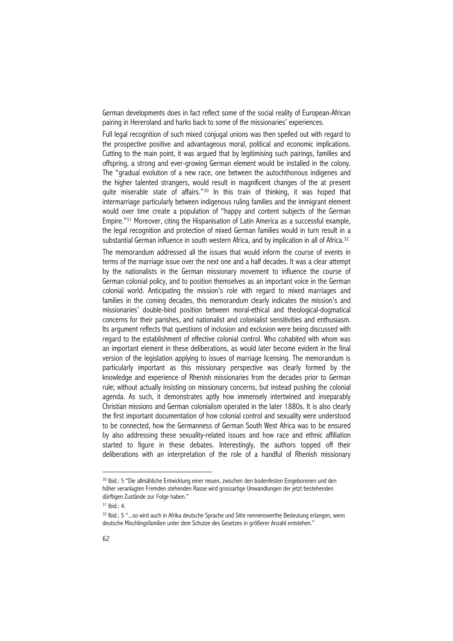German developments does in fact reflect some of the social reality of European-African pairing in Hereroland and harks back to some of the missionaries' experiences.

Full legal recognition of such mixed conjugal unions was then spelled out with regard to the prospective positive and advantageous moral, political and economic implications. Cutting to the main point, it was argued that by legitimising such pairings, families and offspring, a strong and ever-growing German element would be installed in the colony. The "gradual evolution of a new race, one between the autochthonous indigenes and the higher talented strangers, would result in magnificent changes of the at present quite miserable state of affairs."30 In this train of thinking, it was hoped that intermarriage particularly between indigenous ruling families and the immigrant element would over time create a population of "happy and content subjects of the German Empire."31 Moreover, citing the Hispanisation of Latin America as a successful example, the legal recognition and protection of mixed German families would in turn result in a substantial German influence in south western Africa, and by implication in all of Africa.<sup>32</sup>

The memorandum addressed all the issues that would inform the course of events in terms of the marriage issue over the next one and a half decades. It was a clear attempt by the nationalists in the German missionary movement to influence the course of German colonial policy, and to position themselves as an important voice in the German colonial world. Anticipating the mission's role with regard to mixed marriages and families in the coming decades, this memorandum clearly indicates the mission's and missionaries' double-bind position between moral-ethical and theological-dogmatical concerns for their parishes, and nationalist and colonialist sensitivities and enthusiasm. Its argument reflects that questions of inclusion and exclusion were being discussed with regard to the establishment of effective colonial control. Who cohabited with whom was an important element in these deliberations, as would later become evident in the final version of the legislation applying to issues of marriage licensing. The memorandum is particularly important as this missionary perspective was clearly formed by the knowledge and experience of Rhenish missionaries from the decades prior to German rule; without actually insisting on missionary concerns, but instead pushing the colonial agenda. As such, it demonstrates aptly how immensely intertwined and inseparably Christian missions and German colonialism operated in the later 1880s. It is also clearly the first important documentation of how colonial control and sexuality were understood to be connected, how the Germanness of German South West Africa was to be ensured by also addressing these sexuality-related issues and how race and ethnic affiliation started to figure in these debates. Interestingly, the authors topped off their deliberations with an interpretation of the role of a handful of Rhenish missionary

<sup>30</sup> Ibid.: 5 "Die allmähliche Entwicklung einer neuen, zwischen den bodenfesten Eingeborenen und den höher veranlagten Fremden stehenden Rasse wird grossartige Umwandlungen der jetzt bestehenden dürftigen Zustände zur Folge haben."

 $31$  Ihid.:  $4$ .

<sup>32</sup> Ibid.: 5 "...so wird auch in Afrika deutsche Sprache und Sitte nennenswerthe Bedeutung erlangen, wenn deutsche Mischlingsfamilien unter dem Schutze des Gesetzes in größerer Anzahl entstehen."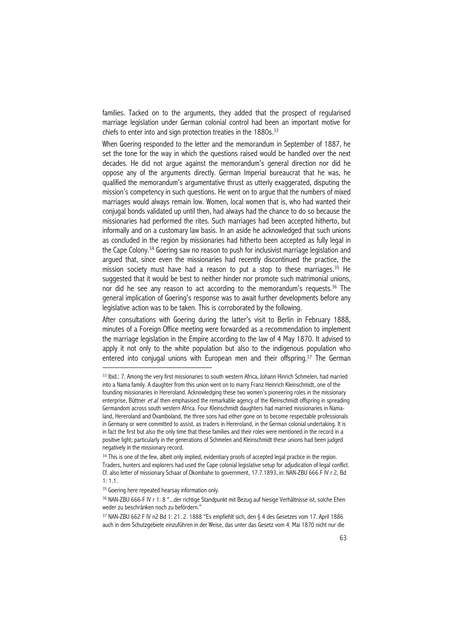families. Tacked on to the arguments, they added that the prospect of regularised marriage legislation under German colonial control had been an important motive for chiefs to enter into and sign protection treaties in the  $1880s$ .<sup>33</sup>

When Goering responded to the letter and the memorandum in September of 1887, he set the tone for the way in which the questions raised would be handled over the next decades. He did not argue against the memorandum's general direction nor did he oppose any of the arguments directly. German Imperial bureaucrat that he was, he qualified the memorandum's argumentative thrust as utterly exaggerated, disputing the mission's competency in such questions. He went on to argue that the numbers of mixed marriages would always remain low. Women, local women that is, who had wanted their conjugal bonds validated up until then, had always had the chance to do so because the missionaries had performed the rites. Such marriages had been accepted hitherto, but informally and on a customary law basis. In an aside he acknowledged that such unions as concluded in the region by missionaries had hitherto been accepted as fully legal in the Cape Colony.34 Goering saw no reason to push for inclusivist marriage legislation and argued that, since even the missionaries had recently discontinued the practice, the mission society must have had a reason to put a stop to these marriages.35 He suggested that it would be best to neither hinder nor promote such matrimonial unions, nor did he see any reason to act according to the memorandum's requests.<sup>36</sup> The general implication of Goering's response was to await further developments before any legislative action was to be taken. This is corroborated by the following.

After consultations with Goering during the latter's visit to Berlin in February 1888, minutes of a Foreign Office meeting were forwarded as a recommendation to implement the marriage legislation in the Empire according to the law of 4 May 1870. It advised to apply it not only to the white population but also to the indigenous population who entered into conjugal unions with European men and their offspring.<sup>37</sup> The German

<sup>&</sup>lt;sup>33</sup> Ibid.: 7. Among the very first missionaries to south western Africa, Johann Hinrich Schmelen, had married into a Nama family. A daughter from this union went on to marry Franz Heinrich Kleinschmidt, one of the founding missionaries in Hereroland. Acknowledging these two women's pioneering roles in the missionary enterprise, Büttner *et al.* then emphasised the remarkable agency of the Kleinschmidt offspring in spreading Germandom across south western Africa. Four Kleinschmidt daughters had married missionaries in Namaland, Hereroland and Ovamboland, the three sons had either gone on to become respectable professionals in Germany or were committed to assist, as traders in Hereroland, in the German colonial undertaking. It is in fact the first but also the only time that these families and their roles were mentioned in the record in a positive light; particularly in the generations of Schmelen and Kleinschmidt these unions had been judged negatively in the missionary record.

<sup>34</sup> This is one of the few, albeit only implied, evidentiary proofs of accepted legal practice in the region. Traders, hunters and explorers had used the Cape colonial legislative setup for adjudication of legal conflict. Cf. also letter of missionary Schaar of Okombahe to government, 17.7.1893, in: NAN-ZBU 666 F IV r 2, Bd  $1: 1.1$ 

<sup>&</sup>lt;sup>35</sup> Goering here repeated hearsay information only.

<sup>36</sup> NAN-ZBU 666-F IV r 1: 8 "...der richtige Standpunkt mit Bezug auf hiesige Verhältnisse ist, solche Ehen weder zu beschränken noch zu befördern."

<sup>37</sup> NAN-ZBU 662 F IV n2 Bd 1: 21. 2. 1888 "Es empfiehlt sich, den § 4 des Gesetzes vom 17. April 1886 auch in dem Schutzgebiete einzuführen in der Weise, das unter das Gesetz vom 4. Mai 1870 nicht nur die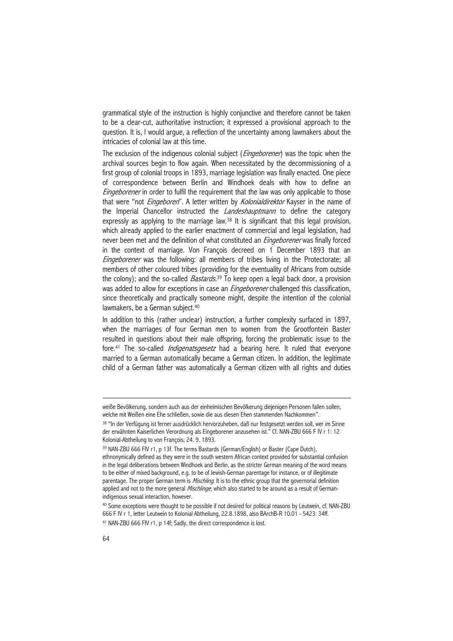grammatical style of the instruction is highly conjunctive and therefore cannot be taken to be a clear-cut, authoritative instruction; it expressed a provisional approach to the question. It is, I would argue, a reflection of the uncertainty among lawmakers about the intricacies of colonial law at this time.

The exclusion of the indigenous colonial subject (*Eingeborener*) was the topic when the archival sources begin to flow again. When necessitated by the decommissioning of a first group of colonial troops in 1893, marriage legislation was finally enacted. One piece of correspondence between Berlin and Windhoek deals with how to define an Eingeborener in order to fulfil the requirement that the law was only applicable to those that were "not *Eingeboren*". A letter written by *Kolonialdirektor* Kayser in the name of the Imperial Chancellor instructed the *Landeshauptmann* to define the category expressly as applying to the marriage law.<sup>38</sup> It is significant that this legal provision, which already applied to the earlier enactment of commercial and legal legislation, had never been met and the definition of what constituted an *Eingeborener* was finally forced in the context of marriage. Von François decreed on 1 December 1893 that an Eingeborener was the following: all members of tribes living in the Protectorate; all members of other coloured tribes (providing for the eventuality of Africans from outside the colony); and the so-called *Bastards*.<sup>39</sup> To keep open a legal back door, a provision was added to allow for exceptions in case an *Eingeborener* challenged this classification, since theoretically and practically someone might, despite the intention of the colonial lawmakers, be a German subject.<sup>40</sup>

In addition to this (rather unclear) instruction, a further complexity surfaced in 1897, when the marriages of four German men to women from the Grootfontein Baster resulted in questions about their male offspring, forcing the problematic issue to the fore.<sup>41</sup> The so-called *Indigenatsgesetz* had a bearing here. It ruled that everyone married to a German automatically became a German citizen. In addition, the legitimate child of a German father was automatically a German citizen with all rights and duties

weiße Bevölkerung, sondern auch aus der einheimischen Bevölkerung diejenigen Personen fallen sollen, welche mit Weißen eine Ehe schließen, sowie die aus diesen Ehen stammenden Nachkommen".

<sup>38 &</sup>quot;In der Verfügung ist ferner ausdrücklich hervorzuheben, daß nur festgesetzt werden soll, wer im Sinne der erwähnten Kaiserlichen Verordnung als Eingeborener anzusehen ist." Cf. NAN-ZBU 666 F IV r 1: 12 Kolonial-Abtheilung to von François, 24. 9. 1893.

<sup>39</sup> NAN-ZBU 666 FIV r1, p 13f. The terms Bastards (German/English) or Baster (Cape Dutch), ethnonymically defined as they were in the south western African context provided for substantial confusion in the legal deliberations between Windhoek and Berlin, as the stricter German meaning of the word means to be either of mixed background, e.g. to be of Jewish-German parentage for instance, or of illegitimate parentage. The proper German term is *Mischling*. It is to the ethnic group that the governorial definition applied and not to the more general *Mischlinge*, which also started to be around as a result of Germanindigenous sexual interaction, however.

<sup>&</sup>lt;sup>40</sup> Some exceptions were thought to be possible if not desired for political reasons by Leutwein, cf. NAN-ZBU 666 F IV r 1, letter Leutwein to Kolonial Abtheilung, 22.8.1898, also BArchB-R 10.01 - 5423: 34ff.

<sup>41</sup> NAN-ZBU 666 FIV r1, p 14f; Sadly, the direct correspondence is lost.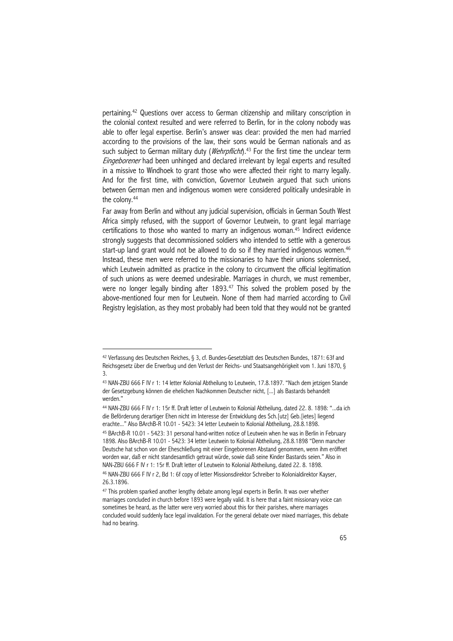pertaining.42 Questions over access to German citizenship and military conscription in the colonial context resulted and were referred to Berlin, for in the colony nobody was able to offer legal expertise. Berlin's answer was clear: provided the men had married according to the provisions of the law, their sons would be German nationals and as such subject to German military duty (*Wehrpflicht*).<sup>43</sup> For the first time the unclear term Eingeborener had been unhinged and declared irrelevant by legal experts and resulted in a missive to Windhoek to grant those who were affected their right to marry legally. And for the first time, with conviction, Governor Leutwein argued that such unions between German men and indigenous women were considered politically undesirable in the colony.44

Far away from Berlin and without any judicial supervision, officials in German South West Africa simply refused, with the support of Governor Leutwein, to grant legal marriage certifications to those who wanted to marry an indigenous woman.45 Indirect evidence strongly suggests that decommissioned soldiers who intended to settle with a generous start-up land grant would not be allowed to do so if they married indigenous women.<sup>46</sup> Instead, these men were referred to the missionaries to have their unions solemnised, which Leutwein admitted as practice in the colony to circumvent the official legitimation of such unions as were deemed undesirable. Marriages in church, we must remember, were no longer legally binding after 1893.<sup>47</sup> This solved the problem posed by the above-mentioned four men for Leutwein. None of them had married according to Civil Registry legislation, as they most probably had been told that they would not be granted

<sup>42</sup> Verfassung des Deutschen Reiches, § 3, cf. Bundes-Gesetzblatt des Deutschen Bundes, 1871: 63f and Reichsgesetz über die Erwerbug und den Verlust der Reichs- und Staatsangehörigkeit vom 1. Juni 1870, § 3.

<sup>43</sup> NAN-ZBU 666 F IV r 1: 14 letter Kolonial Abtheilung to Leutwein, 17.8.1897. "Nach dem jetzigen Stande der Gesetzgebung können die ehelichen Nachkommen Deutscher nicht, [...] als Bastards behandelt werden."

<sup>44</sup> NAN-ZBU 666 F IV r 1: 15r ff. Draft letter of Leutwein to Kolonial Abtheilung, dated 22. 8. 1898: "...da ich die Beförderung derartiger Ehen nicht im Interesse der Entwicklung des Sch.[utz] Geb.[ietes] liegend erachte..." Also BArchB-R 10.01 - 5423: 34 letter Leutwein to Kolonial Abtheilung, 28.8.1898.

<sup>45</sup> BArchB-R 10.01 - 5423: 31 personal hand-written notice of Leutwein when he was in Berlin in February 1898. Also BArchB-R 10.01 - 5423: 34 letter Leutwein to Kolonial Abtheilung, 28.8.1898 "Denn mancher Deutsche hat schon von der Eheschließung mit einer Eingeborenen Abstand genommen, wenn ihm eröffnet worden war, daß er nicht standesamtlich getraut würde, sowie daß seine Kinder Bastards seien." Also in NAN-ZBU 666 F IV r 1: 15r ff. Draft letter of Leutwein to Kolonial Abtheilung, dated 22. 8. 1898. 46 NAN-ZBU 666 F IV r 2, Bd 1: 6f copy of letter Missionsdirektor Schreiber to Kolonialdirektor Kayser,

<sup>26.3.1896.</sup> 

<sup>&</sup>lt;sup>47</sup> This problem sparked another lengthy debate among legal experts in Berlin. It was over whether marriages concluded in church before 1893 were legally valid. It is here that a faint missionary voice can sometimes be heard, as the latter were very worried about this for their parishes, where marriages concluded would suddenly face legal invalidation. For the general debate over mixed marriages, this debate had no bearing.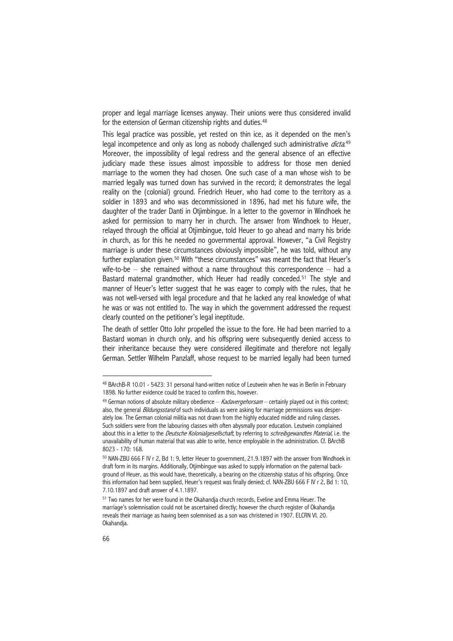proper and legal marriage licenses anyway. Their unions were thus considered invalid for the extension of German citizenship rights and duties.<sup>48</sup>

This legal practice was possible, yet rested on thin ice, as it depended on the men's legal incompetence and only as long as nobody challenged such administrative *dicta*.<sup>49</sup> Moreover, the impossibility of legal redress and the general absence of an effective judiciary made these issues almost impossible to address for those men denied marriage to the women they had chosen. One such case of a man whose wish to be married legally was turned down has survived in the record; it demonstrates the legal reality on the (colonial) ground. Friedrich Heuer, who had come to the territory as a soldier in 1893 and who was decommissioned in 1896, had met his future wife, the daughter of the trader Danti in Otjimbingue. In a letter to the governor in Windhoek he asked for permission to marry her in church. The answer from Windhoek to Heuer, relayed through the official at Otjimbingue, told Heuer to go ahead and marry his bride in church, as for this he needed no governmental approval. However, "a Civil Registry marriage is under these circumstances obviously impossible", he was told, without any further explanation given.<sup>50</sup> With "these circumstances" was meant the fact that Heuer's wife-to-be – she remained without a name throughout this correspondence – had a Bastard maternal grandmother, which Heuer had readily conceded.<sup>51</sup> The style and manner of Heuer's letter suggest that he was eager to comply with the rules, that he was not well-versed with legal procedure and that he lacked any real knowledge of what he was or was not entitled to. The way in which the government addressed the request clearly counted on the petitioner's legal ineptitude.

The death of settler Otto Johr propelled the issue to the fore. He had been married to a Bastard woman in church only, and his offspring were subsequently denied access to their inheritance because they were considered illegitimate and therefore not legally German. Settler Wilhelm Panzlaff, whose request to be married legally had been turned

<sup>48</sup> BArchB-R 10.01 - 5423: 31 personal hand-written notice of Leutwein when he was in Berlin in February 1898. No further evidence could be traced to confirm this, however.

 $49$  German notions of absolute military obedience  $-$  Kadavergehorsam – certainly played out in this context; also, the general *Bildungsstand* of such individuals as were asking for marriage permissions was desperately low. The German colonial militia was not drawn from the highly educated middle and ruling classes. Such soldiers were from the labouring classes with often abysmally poor education. Leutwein complained about this in a letter to the *Deutsche Kolonialgesellschaft*, by referring to *schreibgewandtes Material*, i.e. the unavailability of human material that was able to write, hence employable in the administration. Cf. BArchB 8023 - 170: 168.

<sup>50</sup> NAN-ZBU 666 F IV r 2, Bd 1: 9, letter Heuer to government, 21.9.1897 with the answer from Windhoek in draft form in its margins. Additionally, Otjimbingue was asked to supply information on the paternal background of Heuer, as this would have, theoretically, a bearing on the citizenship status of his offspring. Once this information had been supplied, Heuer's request was finally denied; cf. NAN-ZBU 666 F IV r 2, Bd 1: 10, 7.10.1897 and draft answer of 4.1.1897.

<sup>51</sup> Two names for her were found in the Okahandja church records, Eveline and Emma Heuer. The marriage's solemnisation could not be ascertained directly; however the church register of Okahandja reveals their marriage as having been solemnised as a son was christened in 1907. ELCRN VI. 20. Okahandja.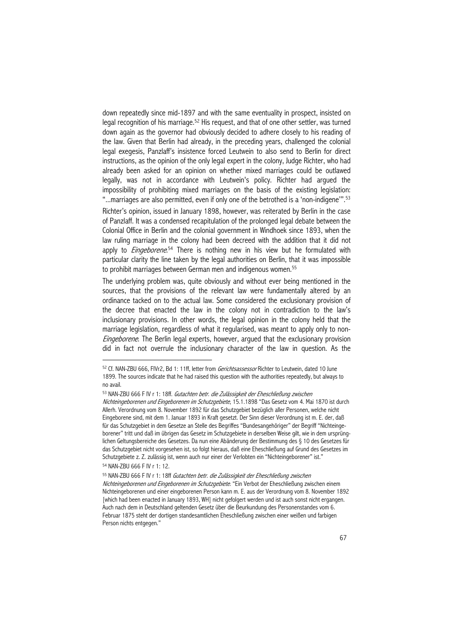down repeatedly since mid-1897 and with the same eventuality in prospect, insisted on legal recognition of his marriage.<sup>52</sup> His request, and that of one other settler, was turned down again as the governor had obviously decided to adhere closely to his reading of the law. Given that Berlin had already, in the preceding years, challenged the colonial legal exegesis, Panzlaff's insistence forced Leutwein to also send to Berlin for direct instructions, as the opinion of the only legal expert in the colony, Judge Richter, who had already been asked for an opinion on whether mixed marriages could be outlawed legally, was not in accordance with Leutwein's policy. Richter had argued the impossibility of prohibiting mixed marriages on the basis of the existing legislation: "...marriages are also permitted, even if only one of the betrothed is a 'non-indigene'".<sup>53</sup>

Richter's opinion, issued in January 1898, however, was reiterated by Berlin in the case of Panzlaff. It was a condensed recapitulation of the prolonged legal debate between the Colonial Office in Berlin and the colonial government in Windhoek since 1893, when the law ruling marriage in the colony had been decreed with the addition that it did not apply to *Eingeborene*.<sup>54</sup> There is nothing new in his view but he formulated with particular clarity the line taken by the legal authorities on Berlin, that it was impossible to prohibit marriages between German men and indigenous women.<sup>55</sup>

The underlying problem was, quite obviously and without ever being mentioned in the sources, that the provisions of the relevant law were fundamentally altered by an ordinance tacked on to the actual law. Some considered the exclusionary provision of the decree that enacted the law in the colony not in contradiction to the law's inclusionary provisions. In other words, the legal opinion in the colony held that the marriage legislation, regardless of what it regularised, was meant to apply only to non-Eingeborene. The Berlin legal experts, however, argued that the exclusionary provision did in fact not overrule the inclusionary character of the law in question. As the

 $\overline{a}$ 

55 NAN-ZBU 666 F IV r 1: 18ff Gutachten betr. die Zulässigkeit der Eheschließung zwischen Nichteingeborenen und Eingeborenen im Schutzgebiete. "Ein Verbot der Eheschließung zwischen einem Nichteingeborenen und einer eingeborenen Person kann m. E. aus der Verordnung vom 8. November 1892 [which had been enacted in January 1893, WH] nicht gefolgert werden und ist auch sonst nicht ergangen. Auch nach dem in Deutschland geltenden Gesetz über die Beurkundung des Personenstandes vom 6. Februar 1875 steht der dortigen standesamtlichen Eheschließung zwischen einer weißen und farbigen Person nichts entgegen."

<sup>52</sup> Cf. NAN-ZBU 666, FIVr2, Bd 1: 11ff, letter from *Gerichtsassessor* Richter to Leutwein, dated 10 June 1899. The sources indicate that he had raised this question with the authorities repeatedly, but always to no avail.

<sup>53</sup> NAN-ZBU 666 F IV r 1: 18ff. Gutachten betr. die Zulässigkeit der Eheschließung zwischen Nichteingeborenen und Eingeborenen im Schutzgebiete, 15.1.1898 "Das Gesetz vom 4. Mai 1870 ist durch Allerh. Verordnung vom 8. November 1892 für das Schutzgebiet bezüglich aller Personen, welche nicht Eingeborene sind, mit dem 1. Januar 1893 in Kraft gesetzt. Der Sinn dieser Verordnung ist m. E. der, daß für das Schutzgebiet in dem Gesetze an Stelle des Begriffes "Bundesangehöriger" der Begriff "Nichteingeborener" tritt und daß im übrigen das Gesetz im Schutzgebiete in derselben Weise gilt, wie in dem ursprünglichen Geltungsbereiche des Gesetzes. Da nun eine Abänderung der Bestimmung des § 10 des Gesetzes für das Schutzgebiet nicht vorgesehen ist, so folgt hieraus, daß eine Eheschließung auf Grund des Gesetzes im Schutzgebiete z. Z. zulässig ist, wenn auch nur einer der Verlobten ein "Nichteingeborener" ist." 54 NAN-ZBU 666 F IV r 1: 12.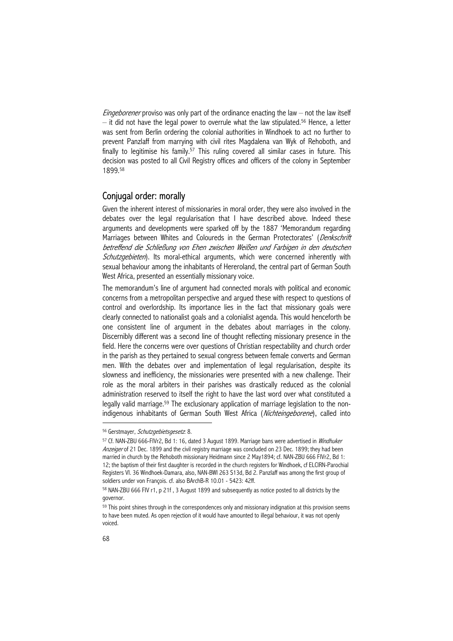*Eingeborener* proviso was only part of the ordinance enacting the law – not the law itself  $-$  it did not have the legal power to overrule what the law stipulated.<sup>56</sup> Hence, a letter was sent from Berlin ordering the colonial authorities in Windhoek to act no further to prevent Panzlaff from marrying with civil rites Magdalena van Wyk of Rehoboth, and finally to legitimise his family.<sup>57</sup> This ruling covered all similar cases in future. This decision was posted to all Civil Registry offices and officers of the colony in September 1899.58

# Conjugal order: morally

Given the inherent interest of missionaries in moral order, they were also involved in the debates over the legal regularisation that I have described above. Indeed these arguments and developments were sparked off by the 1887 'Memorandum regarding Marriages between Whites and Coloureds in the German Protectorates' (*Denkschrift* betreffend die Schließung von Ehen zwischen Weißen und Farbigen in den deutschen Schutzgebieten). Its moral-ethical arguments, which were concerned inherently with sexual behaviour among the inhabitants of Hereroland, the central part of German South West Africa, presented an essentially missionary voice.

The memorandum's line of argument had connected morals with political and economic concerns from a metropolitan perspective and argued these with respect to questions of control and overlordship. Its importance lies in the fact that missionary goals were clearly connected to nationalist goals and a colonialist agenda. This would henceforth be one consistent line of argument in the debates about marriages in the colony. Discernibly different was a second line of thought reflecting missionary presence in the field. Here the concerns were over questions of Christian respectability and church order in the parish as they pertained to sexual congress between female converts and German men. With the debates over and implementation of legal regularisation, despite its slowness and inefficiency, the missionaries were presented with a new challenge. Their role as the moral arbiters in their parishes was drastically reduced as the colonial administration reserved to itself the right to have the last word over what constituted a legally valid marriage.<sup>59</sup> The exclusionary application of marriage legislation to the nonindigenous inhabitants of German South West Africa (Nichteingeborene), called into

<sup>56</sup> Gerstmayer, Schutzgebietsgesetz. 8.

<sup>57</sup> Cf. NAN-ZBU 666-FIVr2, Bd 1: 16, dated 3 August 1899. Marriage bans were advertised in Windhuker Anzeiger of 21 Dec. 1899 and the civil registry marriage was concluded on 23 Dec. 1899; they had been married in church by the Rehoboth missionary Heidmann since 2 May1894; cf. NAN-ZBU 666 FIVr2, Bd 1: 12; the baptism of their first daughter is recorded in the church registers for Windhoek, cf ELCIRN-Parochial Registers VI. 36 Windhoek-Damara, also, NAN-BWI 263 S13d, Bd 2. Panzlaff was among the first group of soldiers under von François. cf. also BArchB-R 10.01 - 5423: 42ff.

<sup>58</sup> NAN-ZBU 666 FIV r1, p 21f , 3 August 1899 and subsequently as notice posted to all districts by the governor.

<sup>59</sup> This point shines through in the correspondences only and missionary indignation at this provision seems to have been muted. As open rejection of it would have amounted to illegal behaviour, it was not openly voiced.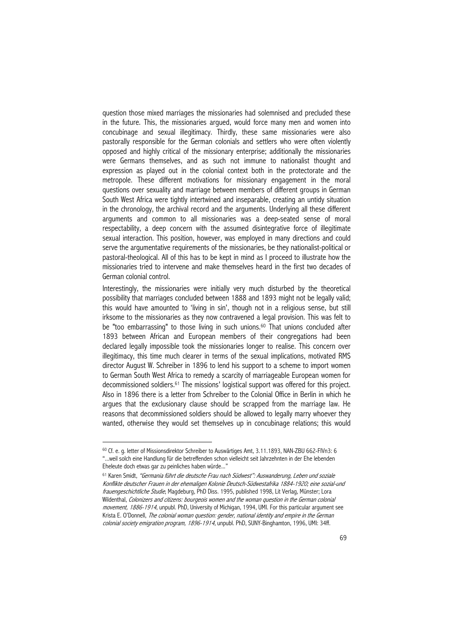question those mixed marriages the missionaries had solemnised and precluded these in the future. This, the missionaries argued, would force many men and women into concubinage and sexual illegitimacy. Thirdly, these same missionaries were also pastorally responsible for the German colonials and settlers who were often violently opposed and highly critical of the missionary enterprise; additionally the missionaries were Germans themselves, and as such not immune to nationalist thought and expression as played out in the colonial context both in the protectorate and the metropole. These different motivations for missionary engagement in the moral questions over sexuality and marriage between members of different groups in German South West Africa were tightly intertwined and inseparable, creating an untidy situation in the chronology, the archival record and the arguments. Underlying all these different arguments and common to all missionaries was a deep-seated sense of moral respectability, a deep concern with the assumed disintegrative force of illegitimate sexual interaction. This position, however, was employed in many directions and could serve the argumentative requirements of the missionaries, be they nationalist-political or pastoral-theological. All of this has to be kept in mind as I proceed to illustrate how the missionaries tried to intervene and make themselves heard in the first two decades of German colonial control.

Interestingly, the missionaries were initially very much disturbed by the theoretical possibility that marriages concluded between 1888 and 1893 might not be legally valid; this would have amounted to 'living in sin', though not in a religious sense, but still irksome to the missionaries as they now contravened a legal provision. This was felt to be "too embarrassing" to those living in such unions.<sup>60</sup> That unions concluded after 1893 between African and European members of their congregations had been declared legally impossible took the missionaries longer to realise. This concern over illegitimacy, this time much clearer in terms of the sexual implications, motivated RMS director August W. Schreiber in 1896 to lend his support to a scheme to import women to German South West Africa to remedy a scarcity of marriageable European women for decommissioned soldiers.61 The missions' logistical support was offered for this project. Also in 1896 there is a letter from Schreiber to the Colonial Office in Berlin in which he argues that the exclusionary clause should be scrapped from the marriage law. He reasons that decommissioned soldiers should be allowed to legally marry whoever they wanted, otherwise they would set themselves up in concubinage relations; this would

<sup>60</sup> Cf. e. g. letter of Missionsdirektor Schreiber to Auswärtiges Amt, 3.11.1893, NAN-ZBU 662-FIVn3: 6 "...weil solch eine Handlung für die betreffenden schon vielleicht seit Jahrzehnten in der Ehe lebenden Eheleute doch etwas gar zu peinliches haben würde...'

<sup>61</sup> Karen Smidt, "Germania führt die deutsche Frau nach Südwest": Auswanderung, Leben und soziale Konflikte deutscher Frauen in der ehemaligen Kolonie Deutsch-Südwestafrika 1884-1920; eine sozial-und frauengeschichtliche Studie, Magdeburg, PhD Diss. 1995, published 1998, Lit Verlag, Münster; Lora Wildenthal, Colonizers and citizens: bourgeois women and the woman question in the German colonial movement, 1886-1914, unpubl. PhD, University of Michigan, 1994, UMI. For this particular argument see Krista E. O'Donnell, The colonial woman question: gender, national identity and empire in the German colonial society emigration program, 1896-1914, unpubl. PhD, SUNY-Binghamton, 1996, UMI: 34ff.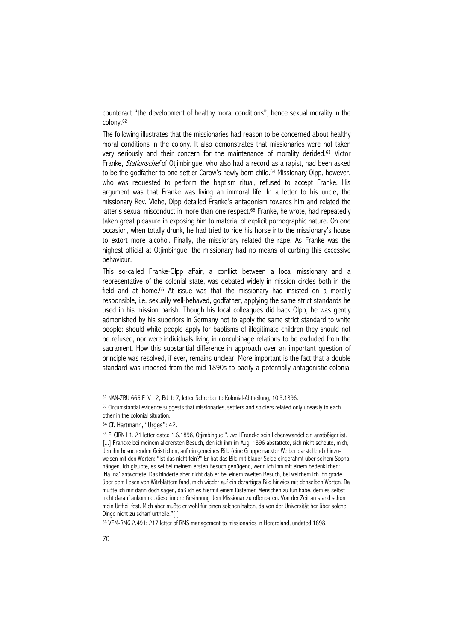counteract "the development of healthy moral conditions", hence sexual morality in the colony.62

The following illustrates that the missionaries had reason to be concerned about healthy moral conditions in the colony. It also demonstrates that missionaries were not taken very seriously and their concern for the maintenance of morality derided.<sup>63</sup> Victor Franke, *Stationschef* of Otjimbingue, who also had a record as a rapist, had been asked to be the godfather to one settler Carow's newly born child.<sup>64</sup> Missionary Olpp, however, who was requested to perform the baptism ritual, refused to accept Franke. His argument was that Franke was living an immoral life. In a letter to his uncle, the missionary Rev. Viehe, Olpp detailed Franke's antagonism towards him and related the latter's sexual misconduct in more than one respect.<sup>65</sup> Franke, he wrote, had repeatedly taken great pleasure in exposing him to material of explicit pornographic nature. On one occasion, when totally drunk, he had tried to ride his horse into the missionary's house to extort more alcohol. Finally, the missionary related the rape. As Franke was the highest official at Otjimbingue, the missionary had no means of curbing this excessive behaviour.

This so-called Franke-Olpp affair, a conflict between a local missionary and a representative of the colonial state, was debated widely in mission circles both in the field and at home.<sup>66</sup> At issue was that the missionary had insisted on a morally responsible, i.e. sexually well-behaved, godfather, applying the same strict standards he used in his mission parish. Though his local colleagues did back Olpp, he was gently admonished by his superiors in Germany not to apply the same strict standard to white people: should white people apply for baptisms of illegitimate children they should not be refused, nor were individuals living in concubinage relations to be excluded from the sacrament. How this substantial difference in approach over an important question of principle was resolved, if ever, remains unclear. More important is the fact that a double standard was imposed from the mid-1890s to pacify a potentially antagonistic colonial

<sup>62</sup> NAN-ZBU 666 F IV r 2, Bd 1: 7, letter Schreiber to Kolonial-Abtheilung, 10.3.1896.

<sup>63</sup> Circumstantial evidence suggests that missionaries, settlers and soldiers related only uneasily to each other in the colonial situation.

<sup>64</sup> Cf. Hartmann, "Urges": 42.

<sup>65</sup> ELCIRN I 1. 21 letter dated 1.6.1898, Otjimbingue "...weil Francke sein Lebenswandel ein anstößiger ist. [...] Francke bei meinem allerersten Besuch, den ich ihm im Aug. 1896 abstattete, sich nicht scheute, mich, den ihn besuchenden Geistlichen, auf ein gemeines Bild (eine Gruppe nackter Weiber darstellend) hinzuweisen mit den Worten: "Ist das nicht fein?" Er hat das Bild mit blauer Seide eingerahmt über seinem Sopha hängen. Ich glaubte, es sei bei meinem ersten Besuch genügend, wenn ich ihm mit einem bedenklichen: 'Na, na' antwortete. Das hinderte aber nicht daß er bei einem zweiten Besuch, bei welchem ich ihn grade über dem Lesen von Witzblättern fand, mich wieder auf ein derartiges Bild hinwies mit denselben Worten. Da mußte ich mir dann doch sagen, daß ich es hiermit einem lüsternen Menschen zu tun habe, dem es selbst nicht darauf ankomme, diese innere Gesinnung dem Missionar zu offenbaren. Von der Zeit an stand schon mein Urtheil fest. Mich aber mußte er wohl für einen solchen halten, da von der Universität her über solche Dinge nicht zu scharf urtheile."[!]

<sup>66</sup> VEM-RMG 2.491: 217 letter of RMS management to missionaries in Hereroland, undated 1898.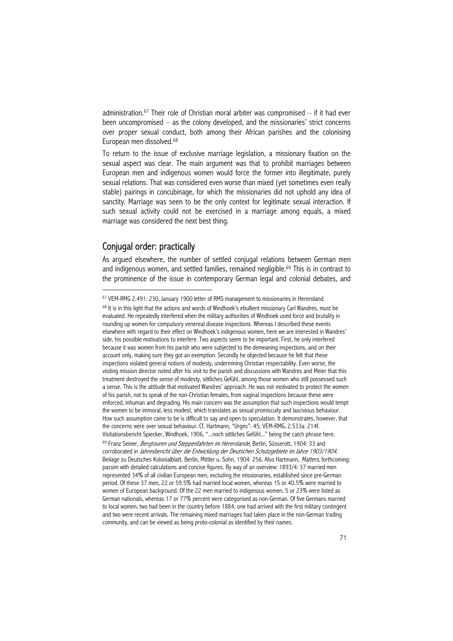administration.<sup>67</sup> Their role of Christian moral arbiter was compromised  $-$  if it had ever been uncompromised – as the colony developed, and the missionaries' strict concerns over proper sexual conduct, both among their African parishes and the colonising European men dissolved.68

To return to the issue of exclusive marriage legislation, a missionary fixation on the sexual aspect was clear. The main argument was that to prohibit marriages between European men and indigenous women would force the former into illegitimate, purely sexual relations. That was considered even worse than mixed (yet sometimes even really stable) pairings in concubinage, for which the missionaries did not uphold any idea of sanctity. Marriage was seen to be the only context for legitimate sexual interaction. If such sexual activity could not be exercised in a marriage among equals, a mixed marriage was considered the next best thing.

# Conjugal order: practically

 $\overline{a}$ 

As argued elsewhere, the number of settled conjugal relations between German men and indigenous women, and settled families, remained negligible.69 This is in contrast to the prominence of the issue in contemporary German legal and colonial debates, and

<sup>67</sup> VEM-RMG 2.491: 230, January 1900 letter of RMS management to missionaries in Hereroland.

 $68$  It is in this light that the actions and words of Windhoek's ebullient missionary Carl Wandres, must be evaluated. He repeatedly interfered when the military authorities of Windhoek used force and brutality in rounding up women for compulsory venereal disease inspections. Whereas I described these events elsewhere with regard to their effect on Windhoek's indigenous women, here we are interested in Wandres' side, his possible motivations to interfere. Two aspects seem to be important. First, he only interfered because it was women from his parish who were subjected to the demeaning inspections, and on their account only, making sure they got an exemption. Secondly he objected because he felt that these inspections violated general notions of modesty, undermining Christian respectability. Even worse, the visiting mission director noted after his visit to the parish and discussions with Wandres and Meier that this treatment destroyed the sense of modesty, sittliches Gefühl, among those women who still possessed such a sense. This is the attitude that motivated Wandres' approach. He was not motivated to protect the women of his parish, not to speak of the non-Christian females, from vaginal inspections because these were enforced, inhuman and degrading. His main concern was the assumption that such inspections would tempt the women to be immoral, less modest, which translates as sexual promiscuity and lascivious behaviour. How such assumption came to be is difficult to say and open to speculation. It demonstrates, however, that the concerns were over sexual behaviour. Cf. Hartmann, "Urges": 45; VEM-RMG, 2.533a: 214f. Visitationsbericht Spiecker, Windhoek, 1906, "...noch sittliches Gefühl..." being the catch phrase here. 69 Franz Seiner, Bergtouren und Steppenfahrten im Hererolande, Berlin, Süsserott, 1904: 33 and corroborated in Jahresbericht über die Entwicklung der Deutschen Schutzgebiete im Jahre 1903/1904. Beilage zu Deutsches Kolonialblatt. Berlin, Mittler u. Sohn, 1904: 256. Also Hartmann, Matters, forthcoming: passim with detailed calculations and concise figures. By way of an overview: 1893/4: 37 married men represented 34% of all civilian European men, excluding the missionaries, established since pre-German period. Of these 37 men, 22 or 59.5% had married local women, whereas 15 or 40.5% were married to women of European background. Of the 22 men married to indigenous women, 5 or 23% were listed as German nationals, whereas 17 or 77% percent were categorised as non-German. Of five Germans married to local women, two had been in the country before 1884, one had arrived with the first military contingent and two were recent arrivals. The remaining mixed marriages had taken place in the non-German trading community, and can be viewed as being proto-colonial as identified by their names.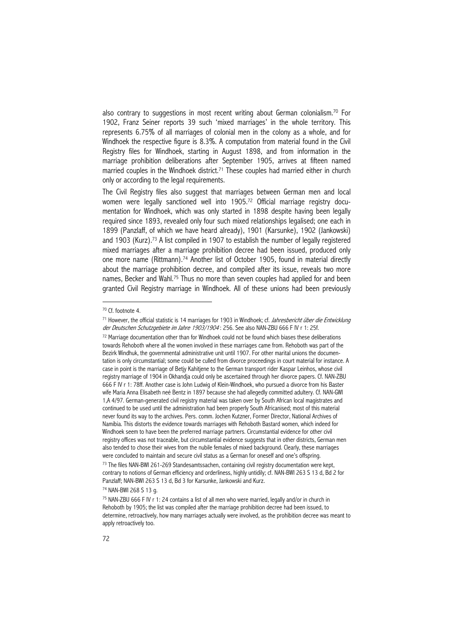also contrary to suggestions in most recent writing about German colonialism.70 For 1902, Franz Seiner reports 39 such 'mixed marriages' in the whole territory. This represents 6.75% of all marriages of colonial men in the colony as a whole, and for Windhoek the respective figure is 8.3%. A computation from material found in the Civil Registry files for Windhoek, starting in August 1898, and from information in the marriage prohibition deliberations after September 1905, arrives at fifteen named married couples in the Windhoek district.<sup>71</sup> These couples had married either in church only or according to the legal requirements.

The Civil Registry files also suggest that marriages between German men and local women were legally sanctioned well into 1905.72 Official marriage registry documentation for Windhoek, which was only started in 1898 despite having been legally required since 1893, revealed only four such mixed relationships legalised; one each in 1899 (Panzlaff, of which we have heard already), 1901 (Karsunke), 1902 (Jankowski) and 1903 (Kurz).<sup>73</sup> A list compiled in 1907 to establish the number of legally registered mixed marriages after a marriage prohibition decree had been issued, produced only one more name (Rittmann).<sup>74</sup> Another list of October 1905, found in material directly about the marriage prohibition decree, and compiled after its issue, reveals two more names, Becker and Wahl.<sup>75</sup> Thus no more than seven couples had applied for and been granted Civil Registry marriage in Windhoek. All of these unions had been previously

<sup>70</sup> Cf. footnote 4.

<sup>71</sup> However, the official statistic is 14 marriages for 1903 in Windhoek; cf. Jahresbericht über die Entwicklung der Deutschen Schutzgebiete im Jahre 1903/1904: 256. See also NAN-ZBU 666 F IV r 1: 25f.

<sup>72</sup> Marriage documentation other than for Windhoek could not be found which biases these deliberations towards Rehoboth where all the women involved in these marriages came from. Rehoboth was part of the Bezirk Windhuk, the governmental administrative unit until 1907. For other marital unions the documentation is only circumstantial; some could be culled from divorce proceedings in court material for instance. A case in point is the marriage of Betjy Kahitjene to the German transport rider Kaspar Leinhos, whose civil registry marriage of 1904 in Okhandja could only be ascertained through her divorce papers. Cf. NAN-ZBU 666 F IV r 1: 78ff. Another case is John Ludwig of Klein-Windhoek, who pursued a divorce from his Baster wife Maria Anna Elisabeth neé Bentz in 1897 because she had allegedly committed adultery. Cf. NAN-GWI 1,A 4/97. German-generated civil registry material was taken over by South African local magistrates and continued to be used until the administration had been properly South Africanised; most of this material never found its way to the archives. Pers. comm. Jochen Kutzner, Former Director, National Archives of Namibia. This distorts the evidence towards marriages with Rehoboth Bastard women, which indeed for Windhoek seem to have been the preferred marriage partners. Circumstantial evidence for other civil registry offices was not traceable, but circumstantial evidence suggests that in other districts, German men also tended to chose their wives from the nubile females of mixed background. Clearly, these marriages were concluded to maintain and secure civil status as a German for oneself and one's offspring. 73 The files NAN-BWI 261-269 Standesamtssachen, containing civil registry documentation were kept, contrary to notions of German efficiency and orderliness, highly untidily; cf. NAN-BWI 263 S 13 d, Bd 2 for Panzlaff; NAN-BWI 263 S 13 d, Bd 3 for Karsunke, Jankowski and Kurz.

<sup>74</sup> NAN-BWI 268 S 13 g.

<sup>75</sup> NAN-ZBU 666 F IV r 1: 24 contains a list of all men who were married, legally and/or in church in Rehoboth by 1905; the list was compiled after the marriage prohibition decree had been issued, to determine, retroactively, how many marriages actually were involved, as the prohibition decree was meant to apply retroactively too.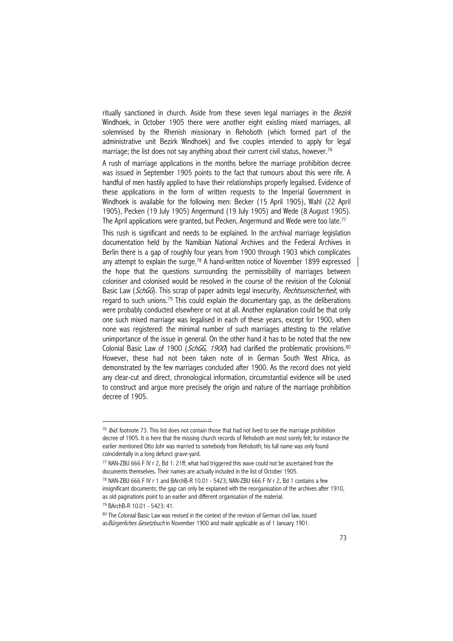ritually sanctioned in church. Aside from these seven legal marriages in the Bezirk Windhoek, in October 1905 there were another eight existing mixed marriages, all solemnised by the Rhenish missionary in Rehoboth (which formed part of the administrative unit Bezirk Windhoek) and five couples intended to apply for legal marriage; the list does not say anything about their current civil status, however.<sup>76</sup>

A rush of marriage applications in the months before the marriage prohibition decree was issued in September 1905 points to the fact that rumours about this were rife. A handful of men hastily applied to have their relationships properly legalised. Evidence of these applications in the form of written requests to the Imperial Government in Windhoek is available for the following men: Becker (15 April 1905), Wahl (22 April 1905), Pecken (19 July 1905) Angermund (19 July 1905) and Wede (8 August 1905). The April applications were granted, but Pecken, Angermund and Wede were too late.<sup>77</sup>

This rush is significant and needs to be explained. In the archival marriage legislation documentation held by the Namibian National Archives and the Federal Archives in Berlin there is a gap of roughly four years from 1900 through 1903 which complicates any attempt to explain the surge.<sup>78</sup> A hand-written notice of November 1899 expressed the hope that the questions surrounding the permissibility of marriages between coloniser and colonised would be resolved in the course of the revision of the Colonial Basic Law (SchGG). This scrap of paper admits legal insecurity, Rechtsunsicherheit, with regard to such unions.<sup>79</sup> This could explain the documentary gap, as the deliberations were probably conducted elsewhere or not at all. Another explanation could be that only one such mixed marriage was legalised in each of these years, except for 1900, when none was registered: the minimal number of such marriages attesting to the relative unimportance of the issue in general. On the other hand it has to be noted that the new Colonial Basic Law of 1900 (SchGG, 1900) had clarified the problematic provisions.<sup>80</sup> However, these had not been taken note of in German South West Africa, as demonstrated by the few marriages concluded after 1900. As the record does not yield any clear-cut and direct, chronological information, circumstantial evidence will be used to construct and argue more precisely the origin and nature of the marriage prohibition decree of 1905.

<sup>&</sup>lt;sup>76</sup> Ibid. footnote 73. This list does not contain those that had not lived to see the marriage prohibition decree of 1905. It is here that the missing church records of Rehoboth are most sorely felt; for instance the earlier mentioned Otto Johr was married to somebody from Rehoboth; his full name was only found coincidentally in a long defunct grave-yard.

<sup>77</sup> NAN-ZBU 666 F IV r 2, Bd 1: 21ff; what had triggered this wave could not be ascertained from the documents themselves. Their names are actually included in the list of October 1905.

<sup>78</sup> NAN-ZBU 666 F IV r 1 and BArchB-R 10.01 - 5423; NAN-ZBU 666 F IV r 2, Bd 1 contains a few insignificant documents; the gap can only be explained with the reorganisation of the archives after 1910, as old paginations point to an earlier and different organisation of the material. 79 BArchB-R 10.01 - 5423: 41.

<sup>80</sup> The Colonial Basic Law was revised in the context of the revision of German civil law, issued as Bürgerliches Gesetzbuch in November 1900 and made applicable as of 1 January 1901.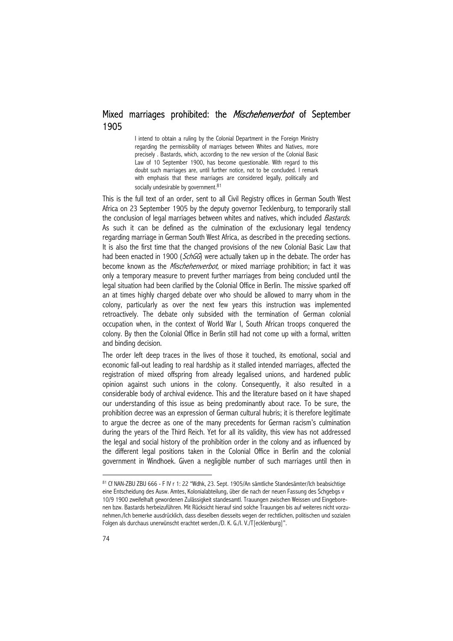# Mixed marriages prohibited: the *Mischehenverbot* of September 1905

I intend to obtain a ruling by the Colonial Department in the Foreign Ministry regarding the permissibility of marriages between Whites and Natives, more precisely . Bastards, which, according to the new version of the Colonial Basic Law of 10 September 1900, has become questionable. With regard to this doubt such marriages are, until further notice, not to be concluded. I remark with emphasis that these marriages are considered legally, politically and socially undesirable by government.<sup>81</sup>

This is the full text of an order, sent to all Civil Registry offices in German South West Africa on 23 September 1905 by the deputy governor Tecklenburg, to temporarily stall the conclusion of legal marriages between whites and natives, which included Bastards. As such it can be defined as the culmination of the exclusionary legal tendency regarding marriage in German South West Africa, as described in the preceding sections. It is also the first time that the changed provisions of the new Colonial Basic Law that had been enacted in 1900 (SchGG) were actually taken up in the debate. The order has become known as the *Mischehenverbot*, or mixed marriage prohibition; in fact it was only a temporary measure to prevent further marriages from being concluded until the legal situation had been clarified by the Colonial Office in Berlin. The missive sparked off an at times highly charged debate over who should be allowed to marry whom in the colony, particularly as over the next few years this instruction was implemented retroactively. The debate only subsided with the termination of German colonial occupation when, in the context of World War I, South African troops conquered the colony. By then the Colonial Office in Berlin still had not come up with a formal, written and binding decision.

The order left deep traces in the lives of those it touched, its emotional, social and economic fall-out leading to real hardship as it stalled intended marriages, affected the registration of mixed offspring from already legalised unions, and hardened public opinion against such unions in the colony. Consequently, it also resulted in a considerable body of archival evidence. This and the literature based on it have shaped our understanding of this issue as being predominantly about race. To be sure, the prohibition decree was an expression of German cultural hubris; it is therefore legitimate to argue the decree as one of the many precedents for German racism's culmination during the years of the Third Reich. Yet for all its validity, this view has not addressed the legal and social history of the prohibition order in the colony and as influenced by the different legal positions taken in the Colonial Office in Berlin and the colonial government in Windhoek. Given a negligible number of such marriages until then in

<sup>81</sup> Cf NAN-ZBU ZBU 666 - F IV r 1: 22 "Wdhk, 23. Sept. 1905/An sämtliche Standesämter/Ich beabsichtige eine Entscheidung des Ausw. Amtes, Kolonialabteilung, über die nach der neuen Fassung des Schgebgs v 10/9 1900 zweifelhaft gewordenen Zulässigkeit standesamtl. Trauungen zwischen Weissen und Eingeborenen bzw. Bastards herbeizuführen. Mit Rücksicht hierauf sind solche Trauungen bis auf weiteres nicht vorzunehmen./Ich bemerke ausdrücklich, dass dieselben diesseits wegen der rechtlichen, politischen und sozialen Folgen als durchaus unerwünscht erachtet werden./D. K. G./I. V./T[ecklenburg]".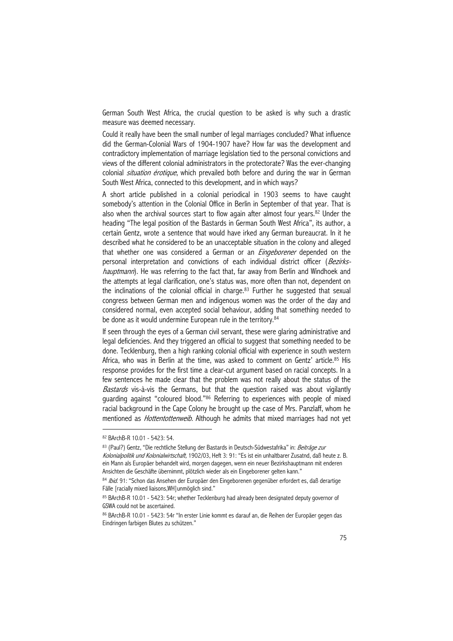German South West Africa, the crucial question to be asked is why such a drastic measure was deemed necessary.

Could it really have been the small number of legal marriages concluded? What influence did the German-Colonial Wars of 1904-1907 have? How far was the development and contradictory implementation of marriage legislation tied to the personal convictions and views of the different colonial administrators in the protectorate? Was the ever-changing colonial *situation érotique*, which prevailed both before and during the war in German South West Africa, connected to this development, and in which ways?

A short article published in a colonial periodical in 1903 seems to have caught somebody's attention in the Colonial Office in Berlin in September of that year. That is also when the archival sources start to flow again after almost four years.<sup>82</sup> Under the heading "The legal position of the Bastards in German South West Africa", its author, a certain Gentz, wrote a sentence that would have irked any German bureaucrat. In it he described what he considered to be an unacceptable situation in the colony and alleged that whether one was considered a German or an *Eingeborener* depended on the personal interpretation and convictions of each individual district officer (Bezirkshauptmann). He was referring to the fact that, far away from Berlin and Windhoek and the attempts at legal clarification, one's status was, more often than not, dependent on the inclinations of the colonial official in charge.<sup>83</sup> Further he suggested that sexual congress between German men and indigenous women was the order of the day and considered normal, even accepted social behaviour, adding that something needed to be done as it would undermine European rule in the territory.<sup>84</sup>

If seen through the eyes of a German civil servant, these were glaring administrative and legal deficiencies. And they triggered an official to suggest that something needed to be done. Tecklenburg, then a high ranking colonial official with experience in south western Africa, who was in Berlin at the time, was asked to comment on Gentz' article.<sup>85</sup> His response provides for the first time a clear-cut argument based on racial concepts. In a few sentences he made clear that the problem was not really about the status of the Bastards vis-à-vis the Germans, but that the question raised was about vigilantly guarding against "coloured blood."86 Referring to experiences with people of mixed racial background in the Cape Colony he brought up the case of Mrs. Panzlaff, whom he mentioned as *Hottentottenweib*. Although he admits that mixed marriages had not yet

<sup>82</sup> BArchB-R 10.01 - 5423: 54.

<sup>83 (</sup>Paul?) Gentz, "Die rechtliche Stellung der Bastards in Deutsch-Südwestafrika" in: Beiträge zur Kolonialpolitik und Kolonialwirtschaft, 1902/03, Heft 3: 91: "Es ist ein unhaltbarer Zusatnd, daß heute z. B. ein Mann als Europäer behandelt wird, morgen dagegen, wenn ein neuer Bezirkshauptmann mit enderen Ansichten die Geschäfte übernimmt, plötzlich wieder als ein Eingeborener gelten kann."

<sup>84</sup> Ibid. 91: "Schon das Ansehen der Europäer den Eingeborenen gegenüber erfordert es, daß derartige Fälle [racially mixed liaisons,WH]unmöglich sind."

<sup>85</sup> BArchB-R 10.01 - 5423: 54r; whether Tecklenburg had already been designated deputy governor of GSWA could not be ascertained.

<sup>86</sup> BArchB-R 10.01 - 5423: 54r "In erster Linie kommt es darauf an, die Reihen der Europäer gegen das Eindringen farbigen Blutes zu schützen."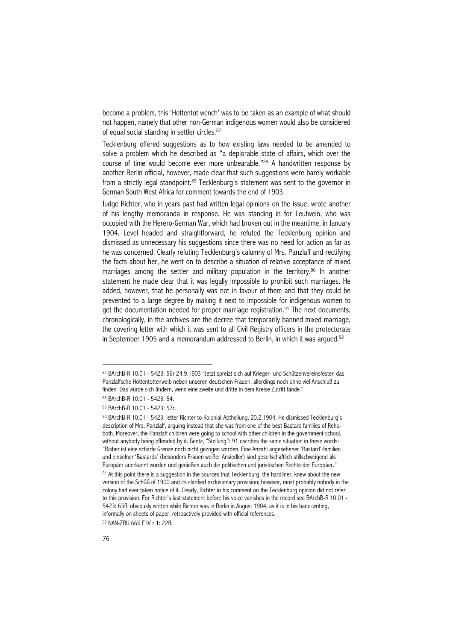become a problem, this 'Hottentot wench' was to be taken as an example of what should not happen, namely that other non-German indigenous women would also be considered of equal social standing in settler circles.<sup>87</sup>

Tecklenburg offered suggestions as to how existing laws needed to be amended to solve a problem which he described as "a deplorable state of affairs, which over the course of time would become ever more unbearable."<sup>88</sup> A handwritten response by another Berlin official, however, made clear that such suggestions were barely workable from a strictly legal standpoint.<sup>89</sup> Tecklenburg's statement was sent to the governor in German South West Africa for comment towards the end of 1903.

Judge Richter, who in years past had written legal opinions on the issue, wrote another of his lengthy memoranda in response. He was standing in for Leutwein, who was occupied with the Herero-German War, which had broken out in the meantime, in January 1904. Level headed and straightforward, he refuted the Tecklenburg opinion and dismissed as unnecessary his suggestions since there was no need for action as far as he was concerned. Clearly refuting Tecklenburg's calumny of Mrs. Panzlaff and rectifying the facts about her, he went on to describe a situation of relative acceptance of mixed marriages among the settler and military population in the territory.<sup>90</sup> In another statement he made clear that it was legally impossible to prohibit such marriages. He added, however, that he personally was not in favour of them and that they could be prevented to a large degree by making it next to impossible for indigenous women to get the documentation needed for proper marriage registration.<sup>91</sup> The next documents, chronologically, in the archives are the decree that temporarily banned mixed marriage, the covering letter with which it was sent to all Civil Registry officers in the protectorate in September 1905 and a memorandum addressed to Berlin, in which it was argued.<sup>92</sup>

92 NAN-ZBU 666 F IV r 1: 22ff.

<sup>87</sup> BArchB-R 10.01 - 5423: 56r 24.9.1903 "Jetzt spreizt sich auf Krieger- und Schützenvereinsfesten das Panzlaffsche Hottentottenweib neben unseren deutschen Frauen, allerdings noch ohne viel Anschluß zu finden. Das würde sich ändern, wenn eine zweite und dritte in dem Kreise Zutritt fände."

<sup>88</sup> BArchB-R 10.01 - 5423: 54.

<sup>89</sup> BArchB-R 10.01 - 5423: 57r.

<sup>90</sup> BArchB-R 10.01 - 5423: letter Richter to Kolonial-Abtheilung, 20.2.1904. He dismissed Tecklenburg's description of Mrs. Panzlaff, arguing instead that she was from one of the best Bastard families of Rehoboth. Moreover, the Panzlaff children were going to school with other children in the government school, without anybody being offended by it. Gentz, "Stellung": 91 dscribes the same situation in these words: "Bisher ist eine scharfe Grenze noch nicht gezogen worden. Eine Anzahl angesehener 'Bastard'-familien und einzelner 'Bastards' (besonders Frauen weißer Ansiedler) sind gesellschaftlich stillschweigend als Europäer anerkannt worden und genießen auch die politischen und juristischen Rechte der Europäer."

 $91$  At this point there is a suggestion in the sources that Tecklenburg, the hardliner, knew about the new version of the SchGG of 1900 and its clarified exclusionary provision; however, most probably nobody in the colony had ever taken notice of it. Clearly, Richter in his comment on the Tecklenburg opinion did not refer to this provision. For Richter's last statement before his voice vanishes in the record see BArchB-R 10.01 - 5423: 65ff, obviously written while Richter was in Berlin in August 1904, as it is in his hand-writing, informally on sheets of paper, retroactively provided with official references.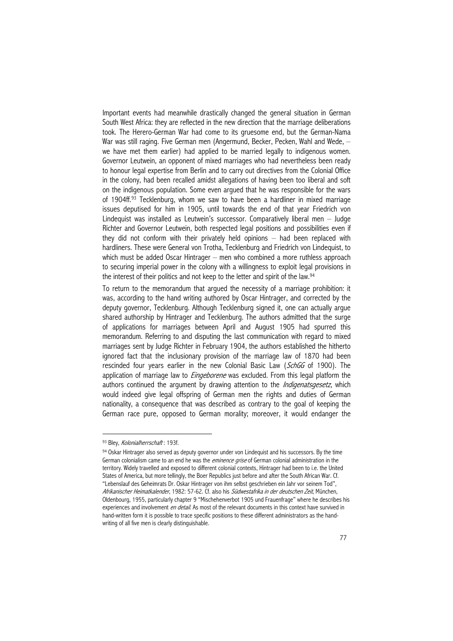Important events had meanwhile drastically changed the general situation in German South West Africa: they are reflected in the new direction that the marriage deliberations took. The Herero-German War had come to its gruesome end, but the German-Nama War was still raging. Five German men (Angermund, Becker, Pecken, Wahl and Wede, we have met them earlier) had applied to be married legally to indigenous women. Governor Leutwein, an opponent of mixed marriages who had nevertheless been ready to honour legal expertise from Berlin and to carry out directives from the Colonial Office in the colony, had been recalled amidst allegations of having been too liberal and soft on the indigenous population. Some even argued that he was responsible for the wars of 1904ff.93 Tecklenburg, whom we saw to have been a hardliner in mixed marriage issues deputised for him in 1905, until towards the end of that year Friedrich von Lindequist was installed as Leutwein's successor. Comparatively liberal men – Judge Richter and Governor Leutwein, both respected legal positions and possibilities even if they did not conform with their privately held opinions – had been replaced with hardliners. These were General von Trotha, Tecklenburg and Friedrich von Lindequist, to which must be added Oscar Hintrager – men who combined a more ruthless approach to securing imperial power in the colony with a willingness to exploit legal provisions in the interest of their politics and not keep to the letter and spirit of the law.<sup>94</sup>

To return to the memorandum that argued the necessity of a marriage prohibition: it was, according to the hand writing authored by Oscar Hintrager, and corrected by the deputy governor, Tecklenburg. Although Tecklenburg signed it, one can actually argue shared authorship by Hintrager and Tecklenburg. The authors admitted that the surge of applications for marriages between April and August 1905 had spurred this memorandum. Referring to and disputing the last communication with regard to mixed marriages sent by Judge Richter in February 1904, the authors established the hitherto ignored fact that the inclusionary provision of the marriage law of 1870 had been rescinded four years earlier in the new Colonial Basic Law (SchGG of 1900). The application of marriage law to *Eingeborene* was excluded. From this legal platform the authors continued the argument by drawing attention to the *Indigenatsgesetz*, which would indeed give legal offspring of German men the rights and duties of German nationality, a consequence that was described as contrary to the goal of keeping the German race pure, opposed to German morality; moreover, it would endanger the

<sup>93</sup> Bley, Kolonialherrschaft: 193f.

<sup>94</sup> Oskar Hintrager also served as deputy governor under von Lindequist and his successors. By the time German colonialism came to an end he was the *eminence grise* of German colonial administration in the territory. Widely travelled and exposed to different colonial contexts, Hintrager had been to i.e. the United States of America, but more tellingly, the Boer Republics just before and after the South African War. Cf. "Lebenslauf des Geheimrats Dr. Oskar Hintrager von ihm selbst geschrieben ein Jahr vor seinem Tod", Afrikanischer Heimatkalender, 1982: 57-62. Cf. also his Südwestafrika in der deutschen Zeit, München, Oldenbourg, 1955, particularly chapter 9 "Mischehenverbot 1905 und Frauenfrage" where he describes his experiences and involvement *en detail*. As most of the relevant documents in this context have survived in hand-written form it is possible to trace specific positions to these different administrators as the handwriting of all five men is clearly distinguishable.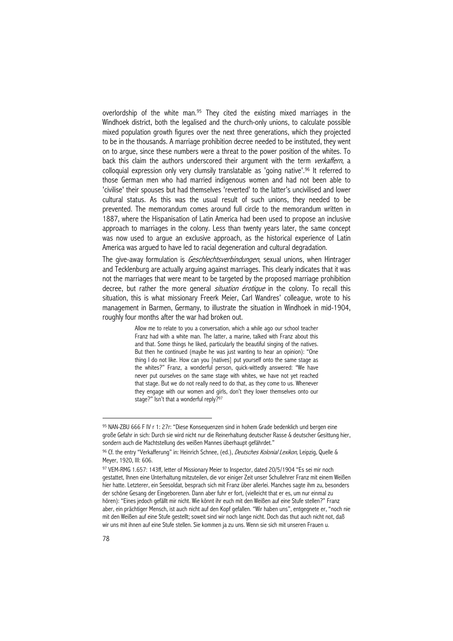overlordship of the white man.<sup>95</sup> They cited the existing mixed marriages in the Windhoek district, both the legalised and the church-only unions, to calculate possible mixed population growth figures over the next three generations, which they projected to be in the thousands. A marriage prohibition decree needed to be instituted, they went on to argue, since these numbers were a threat to the power position of the whites. To back this claim the authors underscored their argument with the term verkaffern, a colloquial expression only very clumsily translatable as 'going native'.96 It referred to those German men who had married indigenous women and had not been able to 'civilise' their spouses but had themselves 'reverted' to the latter's uncivilised and lower cultural status. As this was the usual result of such unions, they needed to be prevented. The memorandum comes around full circle to the memorandum written in 1887, where the Hispanisation of Latin America had been used to propose an inclusive approach to marriages in the colony. Less than twenty years later, the same concept was now used to argue an exclusive approach, as the historical experience of Latin America was argued to have led to racial degeneration and cultural degradation.

The give-away formulation is *Geschlechtsverbindungen*, sexual unions, when Hintrager and Tecklenburg are actually arguing against marriages. This clearly indicates that it was not the marriages that were meant to be targeted by the proposed marriage prohibition decree, but rather the more general *situation érotique* in the colony. To recall this situation, this is what missionary Freerk Meier, Carl Wandres' colleague, wrote to his management in Barmen, Germany, to illustrate the situation in Windhoek in mid-1904, roughly four months after the war had broken out.

> Allow me to relate to you a conversation, which a while ago our school teacher Franz had with a white man. The latter, a marine, talked with Franz about this and that. Some things he liked, particularly the beautiful singing of the natives. But then he continued (maybe he was just wanting to hear an opinion): "One thing I do not like. How can you [natives] put yourself onto the same stage as the whites?" Franz, a wonderful person, quick-wittedly answered: "We have never put ourselves on the same stage with whites, we have not yet reached that stage. But we do not really need to do that, as they come to us. Whenever they engage with our women and girls, don't they lower themselves onto our stage?" Isn't that a wonderful reply?<sup>97</sup>

<sup>95</sup> NAN-ZBU 666 F IV r 1: 27r: "Diese Konsequenzen sind in hohem Grade bedenklich und bergen eine große Gefahr in sich: Durch sie wird nicht nur die Reinerhaltung deutscher Rasse & deutscher Gesittung hier, sondern auch die Machtstellung des weißen Mannes überhaupt gefährdet."

<sup>96</sup> Cf. the entry "Verkafferung" in: Heinrich Schnee, (ed.), *Deutsches Kolonial Lexikon*, Leipzig, Quelle & Meyer, 1920, III: 606.

<sup>97</sup> VEM-RMG 1.657: 143ff, letter of Missionary Meier to Inspector, dated 20/5/1904 "Es sei mir noch gestattet, Ihnen eine Unterhaltung mitzuteilen, die vor einiger Zeit unser Schullehrer Franz mit einem Weißen hier hatte. Letzterer, ein Seesoldat, besprach sich mit Franz über allerlei. Manches sagte ihm zu, besonders der schöne Gesang der Eingeborenen. Dann aber fuhr er fort, (vielleicht that er es, um nur einmal zu hören): "Eines jedoch gefällt mir nicht. Wie könnt ihr euch mit den Weißen auf eine Stufe stellen?" Franz aber, ein prächtiger Mensch, ist auch nicht auf den Kopf gefallen. "Wir haben uns", entgegnete er, "noch nie mit den Weißen auf eine Stufe gestellt; soweit sind wir noch lange nicht. Doch das thut auch nicht not, daß wir uns mit ihnen auf eine Stufe stellen. Sie kommen ja zu uns. Wenn sie sich mit unseren Frauen u.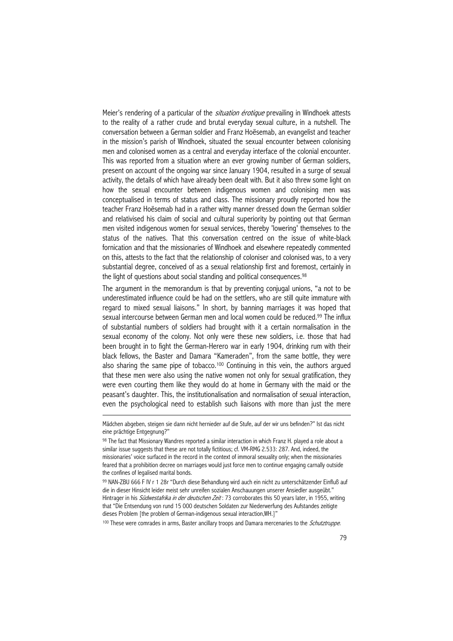Meier's rendering of a particular of the *situation érotique* prevailing in Windhoek attests to the reality of a rather crude and brutal everyday sexual culture, in a nutshell. The conversation between a German soldier and Franz Hoësemab, an evangelist and teacher in the mission's parish of Windhoek, situated the sexual encounter between colonising men and colonised women as a central and everyday interface of the colonial encounter. This was reported from a situation where an ever growing number of German soldiers, present on account of the ongoing war since January 1904, resulted in a surge of sexual activity, the details of which have already been dealt with. But it also threw some light on how the sexual encounter between indigenous women and colonising men was conceptualised in terms of status and class. The missionary proudly reported how the teacher Franz Hoësemab had in a rather witty manner dressed down the German soldier and relativised his claim of social and cultural superiority by pointing out that German men visited indigenous women for sexual services, thereby 'lowering' themselves to the status of the natives. That this conversation centred on the issue of white-black fornication and that the missionaries of Windhoek and elsewhere repeatedly commented on this, attests to the fact that the relationship of coloniser and colonised was, to a very substantial degree, conceived of as a sexual relationship first and foremost, certainly in the light of questions about social standing and political consequences.<sup>98</sup>

The argument in the memorandum is that by preventing conjugal unions, "a not to be underestimated influence could be had on the settlers, who are still quite immature with regard to mixed sexual liaisons." In short, by banning marriages it was hoped that sexual intercourse between German men and local women could be reduced.<sup>99</sup> The influx of substantial numbers of soldiers had brought with it a certain normalisation in the sexual economy of the colony. Not only were these new soldiers, i.e. those that had been brought in to fight the German-Herero war in early 1904, drinking rum with their black fellows, the Baster and Damara "Kameraden", from the same bottle, they were also sharing the same pipe of tobacco.<sup>100</sup> Continuing in this vein, the authors argued that these men were also using the native women not only for sexual gratification, they were even courting them like they would do at home in Germany with the maid or the peasant's daughter. This, the institutionalisation and normalisation of sexual interaction, even the psychological need to establish such liaisons with more than just the mere

 $\overline{a}$ 

100 These were comrades in arms, Baster ancillary troops and Damara mercenaries to the *Schutztruppe*.

Mädchen abgeben, steigen sie dann nicht hernieder auf die Stufe, auf der wir uns befinden?" Ist das nicht eine prächtige Entgegnung?"

<sup>98</sup> The fact that Missionary Wandres reported a similar interaction in which Franz H. played a role about a similar issue suggests that these are not totally fictitious; cf. VM-RMG 2.533: 287. And, indeed, the missionaries' voice surfaced in the record in the context of immoral sexuality only; when the missionaries feared that a prohibition decree on marriages would just force men to continue engaging carnally outside the confines of legalised marital bonds.

<sup>99</sup> NAN-ZBU 666 F IV r 1 28r "Durch diese Behandlung wird auch ein nicht zu unterschätzender Einfluß auf die in dieser Hinsicht leider meist sehr unreifen sozialen Anschauungen unserer Ansiedler ausgeübt." Hintrager in his *Südwestafrika in der deutschen Zeit* : 73 corroborates this 50 years later, in 1955, writing that "Die Entsendung von rund 15 000 deutschen Soldaten zur Niederwerfung des Aufstandes zeitigte dieses Problem [the problem of German-indigenous sexual interaction,WH.]"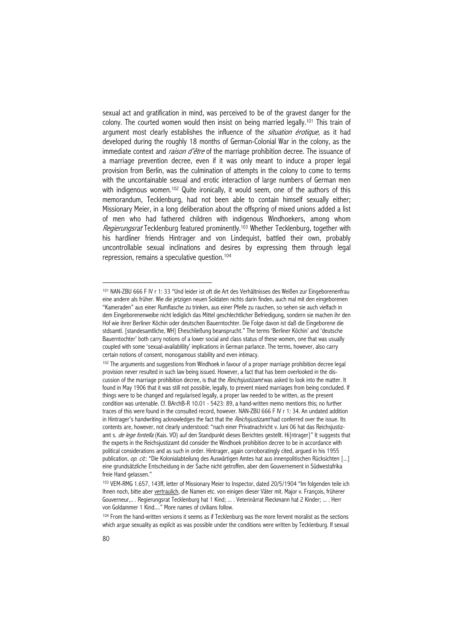sexual act and gratification in mind, was perceived to be of the gravest danger for the colony. The courted women would then insist on being married legally.101 This train of argument most clearly establishes the influence of the *situation érotique*, as it had developed during the roughly 18 months of German-Colonial War in the colony, as the immediate context and *raison d'être* of the marriage prohibition decree. The issuance of a marriage prevention decree, even if it was only meant to induce a proper legal provision from Berlin, was the culmination of attempts in the colony to come to terms with the uncontainable sexual and erotic interaction of large numbers of German men with indigenous women.<sup>102</sup> Quite ironically, it would seem, one of the authors of this memorandum, Tecklenburg, had not been able to contain himself sexually either; Missionary Meier, in a long deliberation about the offspring of mixed unions added a list of men who had fathered children with indigenous Windhoekers, among whom Regierungsrat Tecklenburg featured prominently.<sup>103</sup> Whether Tecklenburg, together with his hardliner friends Hintrager and von Lindequist, battled their own, probably uncontrollable sexual inclinations and desires by expressing them through legal repression, remains a speculative question.104

<sup>101</sup> NAN-ZBU 666 F IV r 1: 33 "Und leider ist oft die Art des Verhältnisses des Weißen zur Eingeborenenfrau eine andere als früher. Wie die jetzigen neuen Soldaten nichts darin finden, auch mal mit den eingeborenen "Kameraden" aus einer Rumflasche zu trinken, aus einer Pfeife zu rauchen, so sehen sie auch vielfach in dem Eingeborenenweibe nicht lediglich das Mittel geschlechtlicher Befriedigung, sondern sie machen ihr den Hof wie ihrer Berliner Köchin oder deutschen Bauerntochter. Die Folge davon ist daß die Eingeborene die stdsamtl. [standesamtliche, WH] Eheschließung beansprucht." The terms 'Berliner Köchin' and 'deutsche Bauerntochter' both carry notions of a lower social and class status of these women, one that was usually coupled with some 'sexual-availablility' implications in German parlance. The terms, however, also carry certain notions of consent, monogamous stability and even intimacy.

<sup>102</sup> The arguments and suggestions from Windhoek in favour of a proper marriage prohibition decree legal provision never resulted in such law being issued. However, a fact that has been overlooked in the discussion of the marriage prohibition decree, is that the Reichsjustizamt was asked to look into the matter. It found in May 1906 that it was still not possible, legally, to prevent mixed marriages from being concluded. If things were to be changed and regularised legally, a proper law needed to be written, as the present condition was untenable. Cf. BArchB-R 10.01 - 5423: 89, a hand-written memo mentions this; no further traces of this were found in the consulted record, however. NAN-ZBU 666 F IV r 1: 34. An undated addition in Hintrager's handwriting acknowledges the fact that the *Reichsjustizamt* had conferred over the issue. Its contents are, however, not clearly understood: "nach einer Privatnachricht v. Juni 06 hat das Reichsjustizamt s. de lege fontella (Kais. VO) auf den Standpunkt dieses Berichtes gestellt. Hi[ntrager]" It suggests that the experts in the Reichsjustizamt did consider the Windhoek prohibition decree to be in accordance with political considerations and as such in order. Hintrager, again corroboratingly cited, argued in his 1955 publication, op. cit.: "Die Kolonialabteilung des Auswärtigen Amtes hat aus innenpolitischen Rücksichten [...] eine grundsätzliche Entscheidung in der Sache nicht getroffen, aber dem Gouvernement in Südwestafrika freie Hand gelassen."

<sup>103</sup> VEM-RMG 1.657, 143ff, letter of Missionary Meier to Inspector, dated 20/5/1904 "Im folgenden teile ich Ihnen noch, bitte aber vertraulich, die Namen etc. von einigen dieser Väter mit. Major v. François, früherer Gouverneur,.. . Regierungsrat Tecklenburg hat 1 Kind; ... . Veterinärrat Rieckmann hat 2 Kinder; ... . Herr von Goldammer 1 Kind...." More names of civilians follow.

<sup>104</sup> From the hand-written versions it seems as if Tecklenburg was the more fervent moralist as the sections which argue sexuality as explicit as was possible under the conditions were written by Tecklenburg. If sexual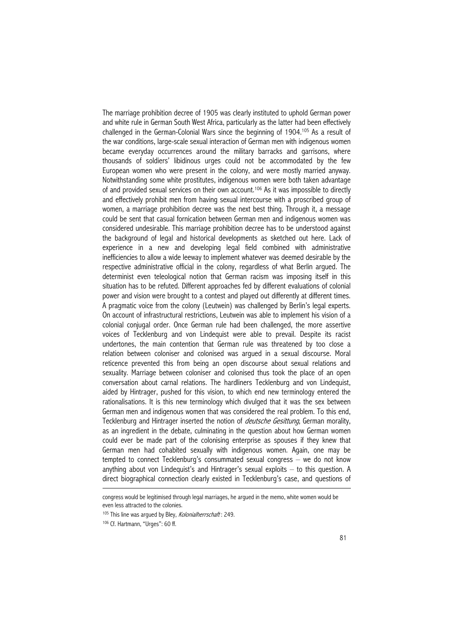The marriage prohibition decree of 1905 was clearly instituted to uphold German power and white rule in German South West Africa, particularly as the latter had been effectively challenged in the German-Colonial Wars since the beginning of 1904.105 As a result of the war conditions, large-scale sexual interaction of German men with indigenous women became everyday occurrences around the military barracks and garrisons, where thousands of soldiers' libidinous urges could not be accommodated by the few European women who were present in the colony, and were mostly married anyway. Notwithstanding some white prostitutes, indigenous women were both taken advantage of and provided sexual services on their own account.106 As it was impossible to directly and effectively prohibit men from having sexual intercourse with a proscribed group of women, a marriage prohibition decree was the next best thing. Through it, a message could be sent that casual fornication between German men and indigenous women was considered undesirable. This marriage prohibition decree has to be understood against the background of legal and historical developments as sketched out here. Lack of experience in a new and developing legal field combined with administrative inefficiencies to allow a wide leeway to implement whatever was deemed desirable by the respective administrative official in the colony, regardless of what Berlin argued. The determinist even teleological notion that German racism was imposing itself in this situation has to be refuted. Different approaches fed by different evaluations of colonial power and vision were brought to a contest and played out differently at different times. A pragmatic voice from the colony (Leutwein) was challenged by Berlin's legal experts. On account of infrastructural restrictions, Leutwein was able to implement his vision of a colonial conjugal order. Once German rule had been challenged, the more assertive voices of Tecklenburg and von Lindequist were able to prevail. Despite its racist undertones, the main contention that German rule was threatened by too close a relation between coloniser and colonised was argued in a sexual discourse. Moral reticence prevented this from being an open discourse about sexual relations and sexuality. Marriage between coloniser and colonised thus took the place of an open conversation about carnal relations. The hardliners Tecklenburg and von Lindequist, aided by Hintrager, pushed for this vision, to which end new terminology entered the rationalisations. It is this new terminology which divulged that it was the sex between German men and indigenous women that was considered the real problem. To this end, Tecklenburg and Hintrager inserted the notion of *deutsche Gesittung*, German morality, as an ingredient in the debate, culminating in the question about how German women could ever be made part of the colonising enterprise as spouses if they knew that German men had cohabited sexually with indigenous women. Again, one may be tempted to connect Tecklenburg's consummated sexual congress – we do not know anything about von Lindequist's and Hintrager's sexual exploits – to this question. A direct biographical connection clearly existed in Tecklenburg's case, and questions of  $\overline{a}$ 

congress would be legitimised through legal marriages, he argued in the memo, white women would be even less attracted to the colonies.

<sup>&</sup>lt;sup>105</sup> This line was argued by Bley, Kolonialherrschaft: 249.

<sup>106</sup> Cf. Hartmann, "Urges": 60 ff.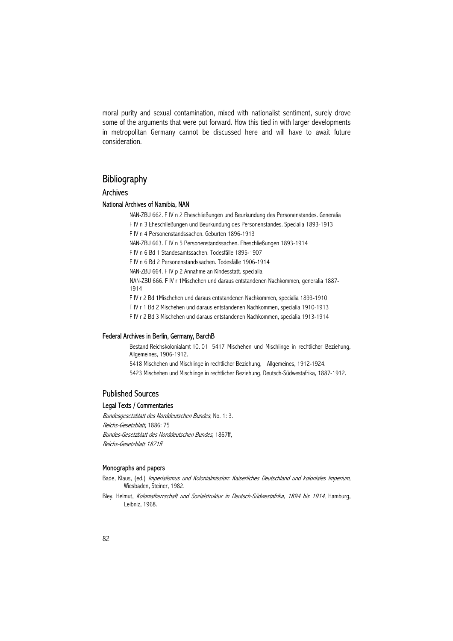moral purity and sexual contamination, mixed with nationalist sentiment, surely drove some of the arguments that were put forward. How this tied in with larger developments in metropolitan Germany cannot be discussed here and will have to await future consideration.

# **Bibliography**

### Archives

### National Archives of Namibia, NAN

 NAN-ZBU 662. F IV n 2 Eheschließungen und Beurkundung des Personenstandes. Generalia F IV n 3 Eheschließungen und Beurkundung des Personenstandes. Specialia 1893-1913

F IV n 4 Personenstandssachen. Geburten 1896-1913

NAN-ZBU 663. F IV n 5 Personenstandssachen. Eheschließungen 1893-1914

F IV n 6 Bd 1 Standesamtssachen. Todesfälle 1895-1907

F IV n 6 Bd 2 Personenstandssachen. Todesfälle 1906-1914

NAN-ZBU 664. F IV p 2 Annahme an Kindesstatt. specialia

 NAN-ZBU 666. F IV r 1Mischehen und daraus entstandenen Nachkommen, generalia 1887- 1914

F IV r 2 Bd 1Mischehen und daraus entstandenen Nachkommen, specialia 1893-1910

F IV r 1 Bd 2 Mischehen und daraus entstandenen Nachkommen, specialia 1910-1913

F IV r 2 Bd 3 Mischehen und daraus entstandenen Nachkommen, specialia 1913-1914

### Federal Archives in Berlin, Germany, BarchB

 Bestand Reichskolonialamt 10. 01 5417 Mischehen und Mischlinge in rechtlicher Beziehung, Allgemeines, 1906-1912. 5418 Mischehen und Mischlinge in rechtlicher Beziehung, Allgemeines, 1912-1924. 5423 Mischehen und Mischlinge in rechtlicher Beziehung, Deutsch-Südwestafrika, 1887-1912.

### Published Sources

### Legal Texts / Commentaries

Bundesgesetzblatt des Norddeutschen Bundes, No. 1: 3. Reichs-Gesetzblatt, 1886: 75 Bundes-Gesetzblatt des Norddeutschen Bundes, 1867ff, Reichs-Gesetzblatt 1871ff

#### Monographs and papers

- Bade, Klaus, (ed.) Imperialismus und Kolonialmission: Kaiserliches Deutschland und koloniales Imperium, Wiesbaden, Steiner, 1982.
- Bley, Helmut, Kolonialherrschaft und Sozialstruktur in Deutsch-Südwestafrika, 1894 bis 1914, Hamburg, Leibniz, 1968.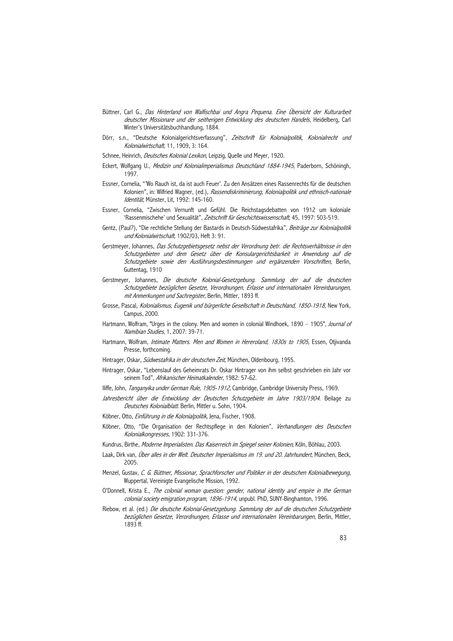- Büttner, Carl G., Das Hinterland von Walfischbai und Angra Pequena. Eine Übersicht der Kulturarbeit deutscher Missionare und der seitherigen Entwicklung des deutschen Handels, Heidelberg, Carl Winter's Universitätsbuchhandlung, 1884.
- Dörr, s.n., "Deutsche Kolonialgerichtsverfassung", Zeitschrift für Kolonialpolitik, Kolonialrecht und Kolonialwirtschaft, 11, 1909, 3: 164.
- Schnee, Heinrich, *Deutsches Kolonial Lexikon*, Leipzig, Quelle und Meyer, 1920.
- Eckert, Wolfgang U., *Medizin und Kolonialimperialismus Deutschland 1884-1945*, Paderborn, Schöningh, 1997.
- Essner, Cornelia, "'Wo Rauch ist, da ist auch Feuer'. Zu den Ansätzen eines Rassenrechts für die deutschen Kolonien", in: Wilfried Wagner, (ed.), Rassendiskriminierung, Kolonialpolitik und ethnisch-nationale Identität, Münster, Lit, 1992: 145-160.
- Essner, Cornelia, "Zwischen Vernunft und Gefühl. Die Reichstagsdebatten von 1912 um koloniale 'Rassenmischehe' und Sexualität", Zeitschrift für Geschichtswissenschaft, 45, 1997: 503-519.
- Gentz, (Paul?), "Die rechtliche Stellung der Bastards in Deutsch-Südwestafrika", Beiträge zur Kolonialpolitik und Kolonialwirtschaft, 1902/03, Heft 3: 91.
- Gerstmeyer, Johannes, Das Schutzgebietsgesetz nebst der Verordnung betr. die Rechtsverhältnisse in den Schutzgebieten und dem Gesetz über die Konsulargerichtsbarkeit in Anwendung auf die Schutzgebiete sowie den Ausführungsbestimmungen und ergänzenden Vorschriften, Berlin, Guttentag, 1910
- Gerstmeyer, Johannes, Die deutsche Kolonial-Gesetzgebung. Sammlung der auf die deutschen Schutzgebiete bezüglichen Gesetze, Verordnungen, Erlasse und internationalen Vereinbarungen, mit Anmerkungen und Sachregister, Berlin, Mittler, 1893 ff.
- Grosse, Pascal, Kolonialismus, Eugenik und bürgerliche Gesellschaft in Deutschland, 1850-1918, New York, Campus, 2000.
- Hartmann, Wolfram, "Urges in the colony. Men and women in colonial Windhoek, 1890 1905", Journal of Namibian Studies, 1, 2007: 39-71.
- Hartmann, Wolfram, *Intimate Matters. Men and Women in Hereroland, 1830s to 1905*, Essen, Otjivanda Presse, forthcoming.
- Hintrager, Oskar, Südwestafrika in der deutschen Zeit, München, Oldenbourg, 1955.
- Hintrager, Oskar, "Lebenslauf des Geheimrats Dr. Oskar Hintrager von ihm selbst geschrieben ein Jahr vor seinem Tod", Afrikanischer Heimatkalender, 1982: 57-62.
- Iliffe, John, *Tanganyika under German Rule, 1905-1912*, Cambridge, Cambridge University Press, 1969.
- Jahresbericht über die Entwicklung der Deutschen Schutzgebiete im Jahre 1903/1904. Beilage zu Deutsches Kolonialblatt. Berlin, Mittler u. Sohn, 1904.
- Köbner, Otto, Einführung in die Kolonialpolitik, Jena, Fischer, 1908.
- Köbner, Otto, "Die Organisation der Rechtspflege in den Kolonien", Verhandlungen des Deutschen Kolonialkongresses, 1902: 331-376.
- Kundrus, Birthe, Moderne Imperialisten. Das Kaiserreich im Spiegel seiner Kolonien, Köln, Böhlau, 2003.
- Laak, Dirk van, Über alles in der Welt. Deutscher Imperialismus im 19. und 20. Jahrhundert, München, Beck, 2005.
- Menzel, Gustav, C. G. Büttner, Missionar, Sprachforscher und Politiker in der deutschen Kolonialbewegung, Wuppertal, Vereinigte Evangelische Mission, 1992.
- O'Donnell, Krista E., The colonial woman question: gender, national identity and empire in the German colonial society emigration program, 1896-1914, unpubl. PhD, SUNY-Binghamton, 1996.
- Riebow, et al. (ed.) Die deutsche Kolonial-Gesetzgebung. Sammlung der auf die deutschen Schutzgebiete bezüglichen Gesetze, Verordnungen, Erlasse und internationalen Vereinbarungen, Berlin, Mittler, 1893 ff.